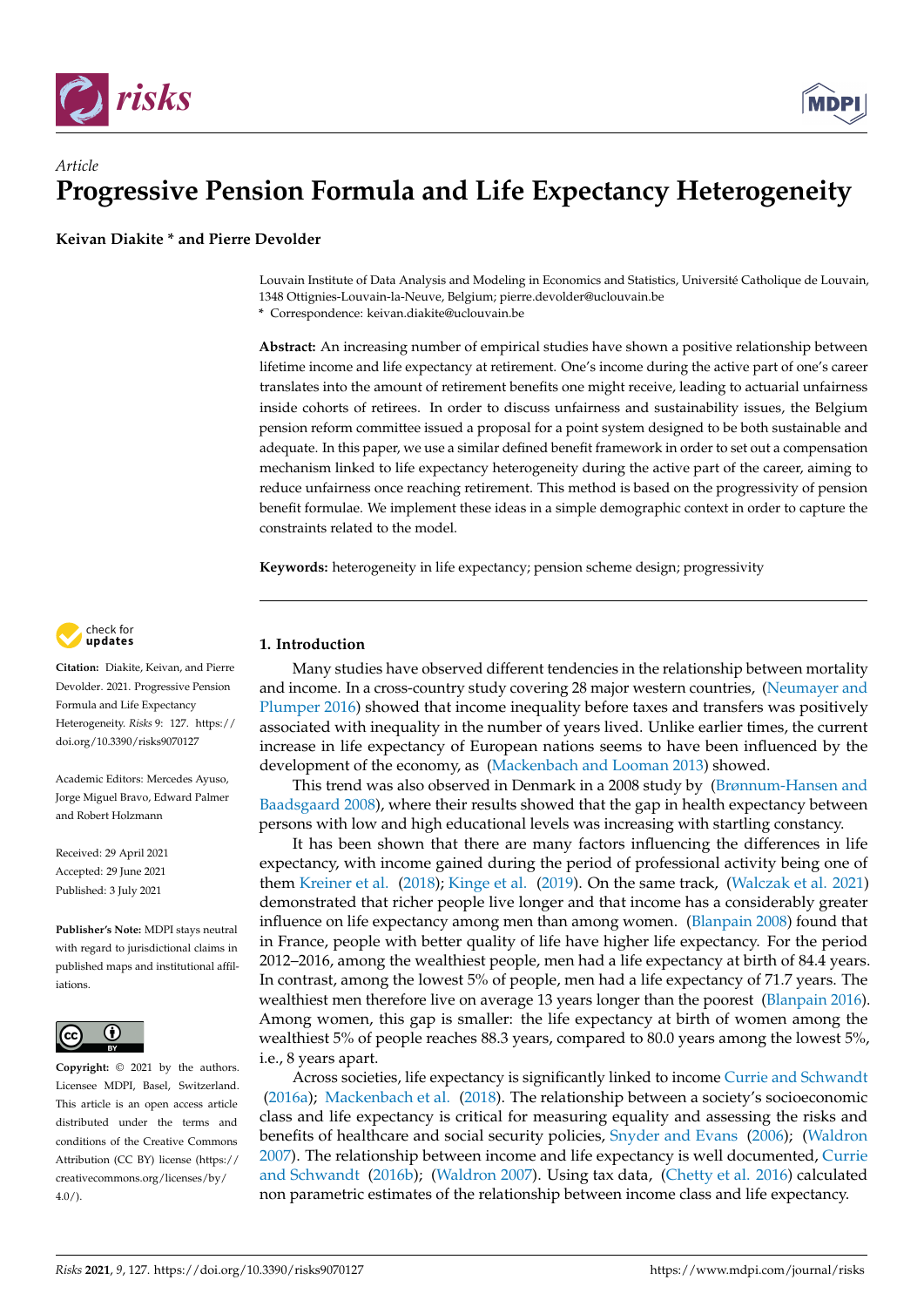



**Keivan Diakite \* and Pierre Devolder**

Louvain Institute of Data Analysis and Modeling in Economics and Statistics, Université Catholique de Louvain, 1348 Ottignies-Louvain-la-Neuve, Belgium; pierre.devolder@uclouvain.be

**\*** Correspondence: keivan.diakite@uclouvain.be

**Abstract:** An increasing number of empirical studies have shown a positive relationship between lifetime income and life expectancy at retirement. One's income during the active part of one's career translates into the amount of retirement benefits one might receive, leading to actuarial unfairness inside cohorts of retirees. In order to discuss unfairness and sustainability issues, the Belgium pension reform committee issued a proposal for a point system designed to be both sustainable and adequate. In this paper, we use a similar defined benefit framework in order to set out a compensation mechanism linked to life expectancy heterogeneity during the active part of the career, aiming to reduce unfairness once reaching retirement. This method is based on the progressivity of pension benefit formulae. We implement these ideas in a simple demographic context in order to capture the constraints related to the model.

**Keywords:** heterogeneity in life expectancy; pension scheme design; progressivity



**Citation:** Diakite, Keivan, and Pierre Devolder. 2021. Progressive Pension Formula and Life Expectancy Heterogeneity. *Risks* 9: 127. [https://](https://doi.org/10.3390/risks9070127) [doi.org/10.3390/risks9070127](https://doi.org/10.3390/risks9070127)

Academic Editors: Mercedes Ayuso, Jorge Miguel Bravo, Edward Palmer and Robert Holzmann

Received: 29 April 2021 Accepted: 29 June 2021 Published: 3 July 2021

**Publisher's Note:** MDPI stays neutral with regard to jurisdictional claims in published maps and institutional affiliations.



**Copyright:** © 2021 by the authors. Licensee MDPI, Basel, Switzerland. This article is an open access article distributed under the terms and conditions of the Creative Commons Attribution (CC BY) license (https:/[/](https://creativecommons.org/licenses/by/4.0/) [creativecommons.org/licenses/by/](https://creativecommons.org/licenses/by/4.0/)  $4.0/$ ).

# **1. Introduction**

Many studies have observed different tendencies in the relationship between mortality and income. In a cross-country study covering 28 major western countries, [\(Neumayer and](#page-17-0) [Plumper 2016\)](#page-17-0) showed that income inequality before taxes and transfers was positively associated with inequality in the number of years lived. Unlike earlier times, the current increase in life expectancy of European nations seems to have been influenced by the development of the economy, as [\(Mackenbach and Looman 2013\)](#page-17-1) showed.

This trend was also observed in Denmark in a 2008 study by [\(Brønnum-Hansen and](#page-17-2) [Baadsgaard 2008\)](#page-17-2), where their results showed that the gap in health expectancy between persons with low and high educational levels was increasing with startling constancy.

It has been shown that there are many factors influencing the differences in life expectancy, with income gained during the period of professional activity being one of them [Kreiner et al.](#page-17-3) [\(2018\)](#page-17-3); [Kinge et al.](#page-17-4) [\(2019\)](#page-17-4). On the same track, [\(Walczak et al. 2021\)](#page-18-0) demonstrated that richer people live longer and that income has a considerably greater influence on life expectancy among men than among women. [\(Blanpain 2008\)](#page-17-5) found that in France, people with better quality of life have higher life expectancy. For the period 2012–2016, among the wealthiest people, men had a life expectancy at birth of 84.4 years. In contrast, among the lowest 5% of people, men had a life expectancy of 71.7 years. The wealthiest men therefore live on average 13 years longer than the poorest [\(Blanpain 2016\)](#page-17-6). Among women, this gap is smaller: the life expectancy at birth of women among the wealthiest 5% of people reaches 88.3 years, compared to 80.0 years among the lowest 5%, i.e., 8 years apart.

Across societies, life expectancy is significantly linked to income [Currie and Schwandt](#page-17-7) [\(2016a\)](#page-17-7); [Mackenbach et al.](#page-17-8) [\(2018\)](#page-17-8). The relationship between a society's socioeconomic class and life expectancy is critical for measuring equality and assessing the risks and benefits of healthcare and social security policies, [Snyder and Evans](#page-17-9) [\(2006\)](#page-17-9); [\(Waldron](#page-18-1) [2007\)](#page-18-1). The relationship between income and life expectancy is well documented, [Currie](#page-17-10) [and Schwandt](#page-17-10) [\(2016b\)](#page-17-10); [\(Waldron 2007\)](#page-18-1). Using tax data, [\(Chetty et al. 2016\)](#page-17-11) calculated non parametric estimates of the relationship between income class and life expectancy.

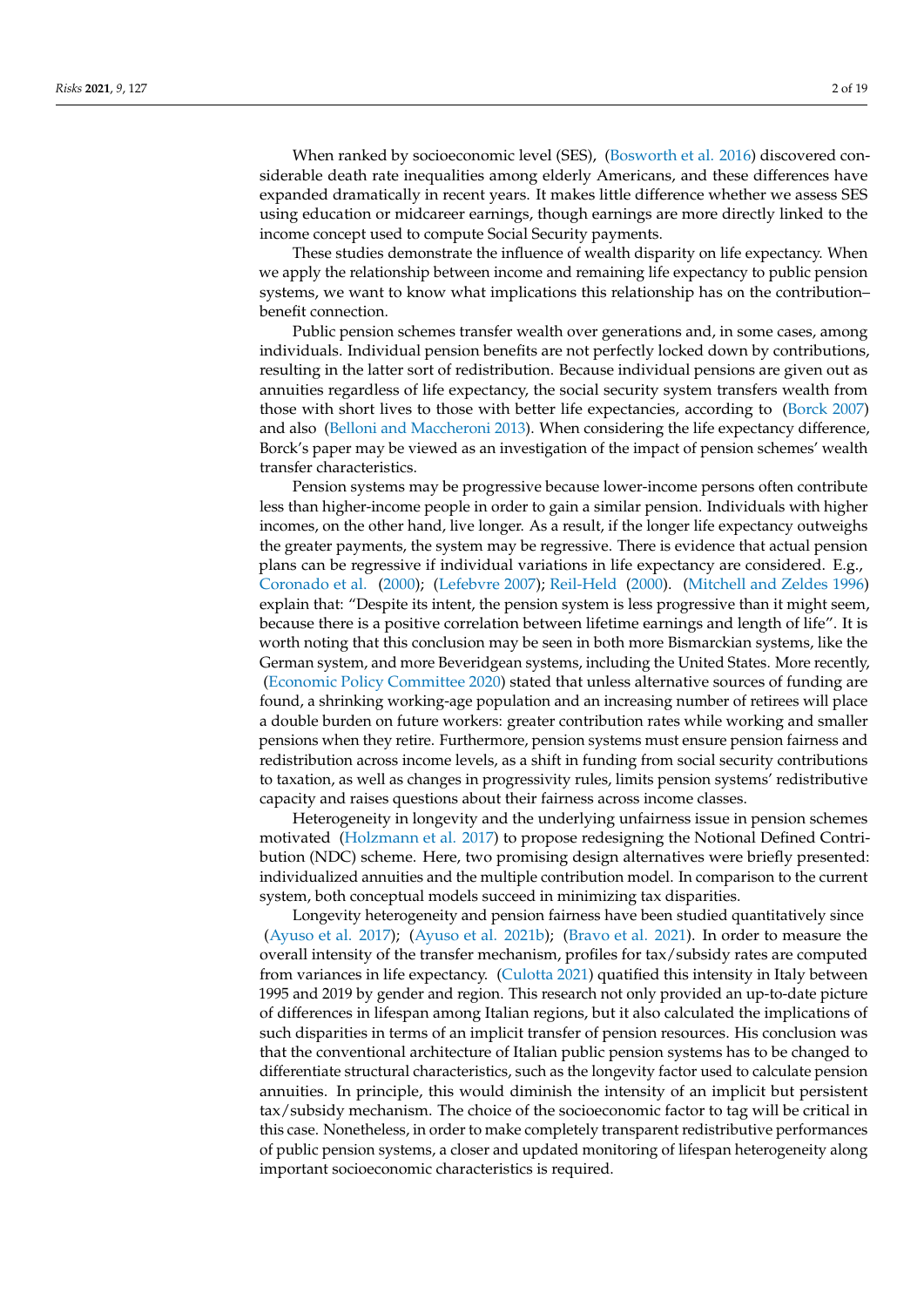When ranked by socioeconomic level (SES), [\(Bosworth et al. 2016\)](#page-17-12) discovered considerable death rate inequalities among elderly Americans, and these differences have expanded dramatically in recent years. It makes little difference whether we assess SES using education or midcareer earnings, though earnings are more directly linked to the income concept used to compute Social Security payments.

These studies demonstrate the influence of wealth disparity on life expectancy. When we apply the relationship between income and remaining life expectancy to public pension systems, we want to know what implications this relationship has on the contribution– benefit connection.

Public pension schemes transfer wealth over generations and, in some cases, among individuals. Individual pension benefits are not perfectly locked down by contributions, resulting in the latter sort of redistribution. Because individual pensions are given out as annuities regardless of life expectancy, the social security system transfers wealth from those with short lives to those with better life expectancies, according to [\(Borck 2007\)](#page-17-13) and also [\(Belloni and Maccheroni 2013\)](#page-17-14). When considering the life expectancy difference, Borck's paper may be viewed as an investigation of the impact of pension schemes' wealth transfer characteristics.

Pension systems may be progressive because lower-income persons often contribute less than higher-income people in order to gain a similar pension. Individuals with higher incomes, on the other hand, live longer. As a result, if the longer life expectancy outweighs the greater payments, the system may be regressive. There is evidence that actual pension plans can be regressive if individual variations in life expectancy are considered. E.g., [Coronado et al.](#page-17-15) [\(2000\)](#page-17-15); [\(Lefebvre 2007\)](#page-17-16); [Reil-Held](#page-17-17) [\(2000\)](#page-17-17). [\(Mitchell and Zeldes 1996\)](#page-17-18) explain that: "Despite its intent, the pension system is less progressive than it might seem, because there is a positive correlation between lifetime earnings and length of life". It is worth noting that this conclusion may be seen in both more Bismarckian systems, like the German system, and more Beveridgean systems, including the United States. More recently, [\(Economic Policy Committee 2020\)](#page-17-19) stated that unless alternative sources of funding are found, a shrinking working-age population and an increasing number of retirees will place a double burden on future workers: greater contribution rates while working and smaller pensions when they retire. Furthermore, pension systems must ensure pension fairness and redistribution across income levels, as a shift in funding from social security contributions to taxation, as well as changes in progressivity rules, limits pension systems' redistributive capacity and raises questions about their fairness across income classes.

Heterogeneity in longevity and the underlying unfairness issue in pension schemes motivated [\(Holzmann et al. 2017\)](#page-17-20) to propose redesigning the Notional Defined Contribution (NDC) scheme. Here, two promising design alternatives were briefly presented: individualized annuities and the multiple contribution model. In comparison to the current system, both conceptual models succeed in minimizing tax disparities.

Longevity heterogeneity and pension fairness have been studied quantitatively since [\(Ayuso et al. 2017\)](#page-16-0); [\(Ayuso et al. 2021b\)](#page-16-1); [\(Bravo et al. 2021\)](#page-17-21). In order to measure the overall intensity of the transfer mechanism, profiles for tax/subsidy rates are computed from variances in life expectancy. [\(Culotta 2021\)](#page-17-22) quatified this intensity in Italy between 1995 and 2019 by gender and region. This research not only provided an up-to-date picture of differences in lifespan among Italian regions, but it also calculated the implications of such disparities in terms of an implicit transfer of pension resources. His conclusion was that the conventional architecture of Italian public pension systems has to be changed to differentiate structural characteristics, such as the longevity factor used to calculate pension annuities. In principle, this would diminish the intensity of an implicit but persistent tax/subsidy mechanism. The choice of the socioeconomic factor to tag will be critical in this case. Nonetheless, in order to make completely transparent redistributive performances of public pension systems, a closer and updated monitoring of lifespan heterogeneity along important socioeconomic characteristics is required.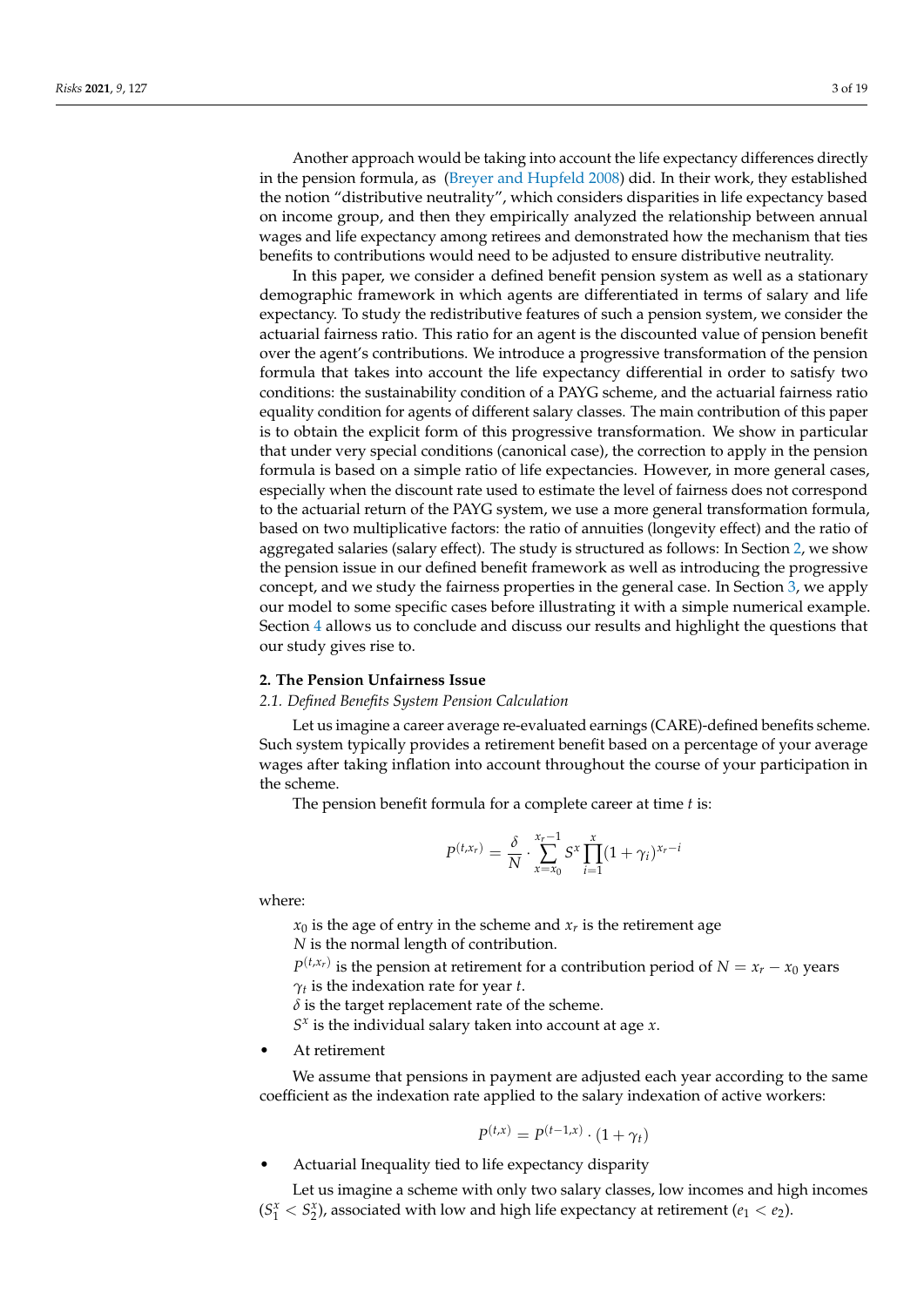Another approach would be taking into account the life expectancy differences directly in the pension formula, as [\(Breyer and Hupfeld 2008\)](#page-17-23) did. In their work, they established the notion "distributive neutrality", which considers disparities in life expectancy based on income group, and then they empirically analyzed the relationship between annual wages and life expectancy among retirees and demonstrated how the mechanism that ties benefits to contributions would need to be adjusted to ensure distributive neutrality.

In this paper, we consider a defined benefit pension system as well as a stationary demographic framework in which agents are differentiated in terms of salary and life expectancy. To study the redistributive features of such a pension system, we consider the actuarial fairness ratio. This ratio for an agent is the discounted value of pension benefit over the agent's contributions. We introduce a progressive transformation of the pension formula that takes into account the life expectancy differential in order to satisfy two conditions: the sustainability condition of a PAYG scheme, and the actuarial fairness ratio equality condition for agents of different salary classes. The main contribution of this paper is to obtain the explicit form of this progressive transformation. We show in particular that under very special conditions (canonical case), the correction to apply in the pension formula is based on a simple ratio of life expectancies. However, in more general cases, especially when the discount rate used to estimate the level of fairness does not correspond to the actuarial return of the PAYG system, we use a more general transformation formula, based on two multiplicative factors: the ratio of annuities (longevity effect) and the ratio of aggregated salaries (salary effect). The study is structured as follows: In Section [2,](#page-2-0) we show the pension issue in our defined benefit framework as well as introducing the progressive concept, and we study the fairness properties in the general case. In Section [3,](#page-10-0) we apply our model to some specific cases before illustrating it with a simple numerical example. Section [4](#page-14-0) allows us to conclude and discuss our results and highlight the questions that our study gives rise to.

### <span id="page-2-0"></span>**2. The Pension Unfairness Issue**

## *2.1. Defined Benefits System Pension Calculation*

Let us imagine a career average re-evaluated earnings (CARE)-defined benefits scheme. Such system typically provides a retirement benefit based on a percentage of your average wages after taking inflation into account throughout the course of your participation in the scheme.

The pension benefit formula for a complete career at time *t* is:

$$
P^{(t,x_r)} = \frac{\delta}{N} \cdot \sum_{x=x_0}^{x_r-1} S^x \prod_{i=1}^x (1+\gamma_i)^{x_r-i}
$$

where:

 $x_0$  is the age of entry in the scheme and  $x_r$  is the retirement age

*N* is the normal length of contribution.

 $P^{(t,x_r)}$  is the pension at retirement for a contribution period of  $N = x_r - x_0$  years *γt* is the indexation rate for year *t*.

 $\delta$  is the target replacement rate of the scheme.

*S x* is the individual salary taken into account at age *x*.

At retirement

We assume that pensions in payment are adjusted each year according to the same coefficient as the indexation rate applied to the salary indexation of active workers:

$$
P^{(t,x)} = P^{(t-1,x)} \cdot (1+\gamma_t)
$$

• Actuarial Inequality tied to life expectancy disparity

Let us imagine a scheme with only two salary classes, low incomes and high incomes  $(S_1^x < S_2^x)$ , associated with low and high life expectancy at retirement (*e*<sub>1</sub> < *e*<sub>2</sub>).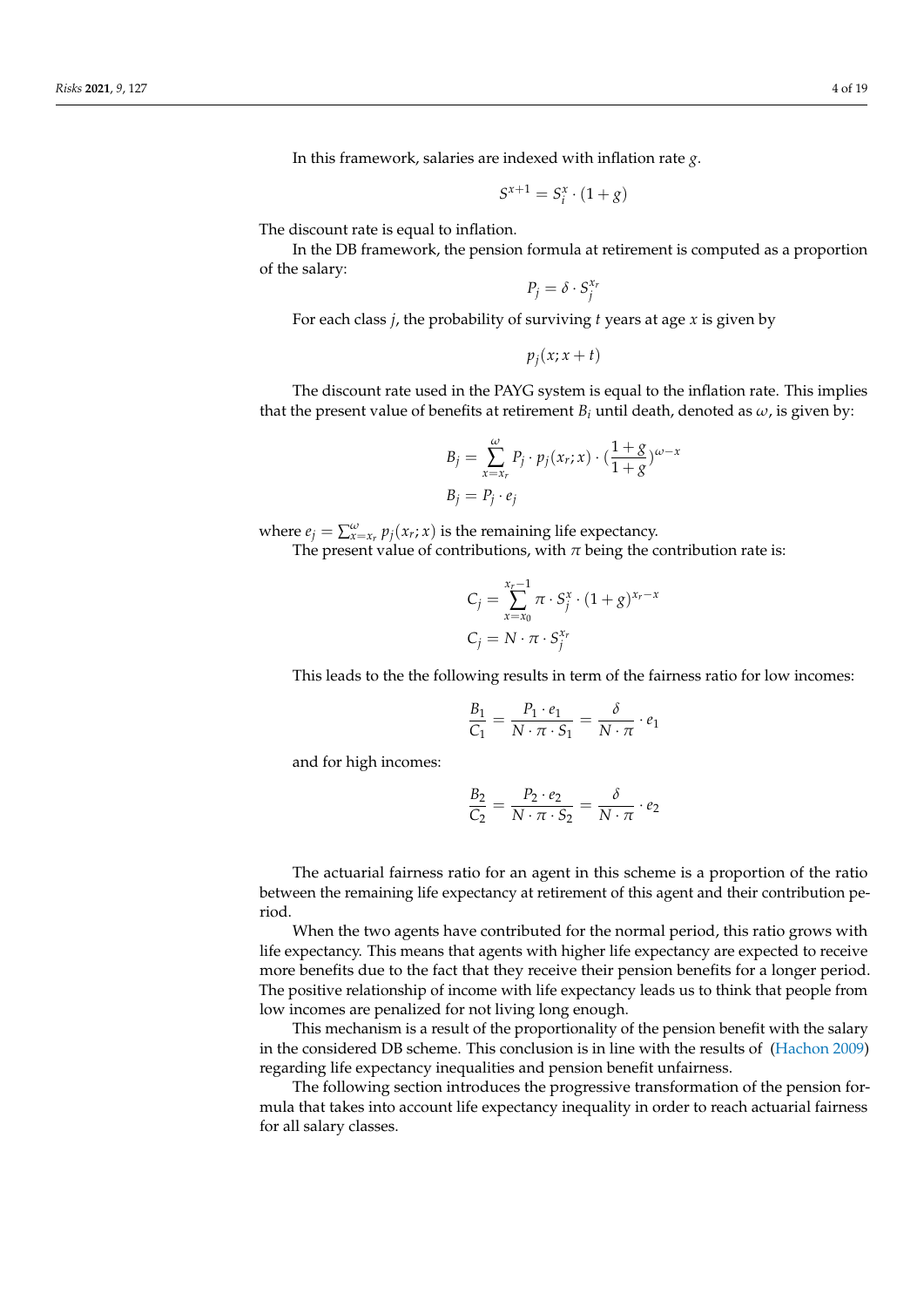In this framework, salaries are indexed with inflation rate *g*.

$$
S^{x+1} = S_i^x \cdot (1+g)
$$

The discount rate is equal to inflation.

In the DB framework, the pension formula at retirement is computed as a proportion of the salary:

 $P_j = \delta \cdot S_j^{x_j}$ 

For each class *j*, the probability of surviving *t* years at age *x* is given by

$$
p_j(x; x+t)
$$

The discount rate used in the PAYG system is equal to the inflation rate. This implies that the present value of benefits at retirement  $B_i$  until death, denoted as  $\omega$ , is given by:

$$
B_j = \sum_{x=x_r}^{\omega} P_j \cdot p_j(x_r; x) \cdot \left(\frac{1+g}{1+g}\right)^{\omega-x}
$$

$$
B_j = P_j \cdot e_j
$$

where  $e_j = \sum_{x=x_r}^{\omega} p_j(x_r; x)$  is the remaining life expectancy.

The present value of contributions, with  $\pi$  being the contribution rate is:

$$
C_j = \sum_{x=x_0}^{x_r-1} \pi \cdot S_j^x \cdot (1+g)^{x_r-x}
$$

$$
C_j = N \cdot \pi \cdot S_j^{x_r}
$$

This leads to the the following results in term of the fairness ratio for low incomes:

$$
\frac{B_1}{C_1} = \frac{P_1 \cdot e_1}{N \cdot \pi \cdot S_1} = \frac{\delta}{N \cdot \pi} \cdot e_1
$$

and for high incomes:

$$
\frac{B_2}{C_2} = \frac{P_2 \cdot e_2}{N \cdot \pi \cdot S_2} = \frac{\delta}{N \cdot \pi} \cdot e_2
$$

The actuarial fairness ratio for an agent in this scheme is a proportion of the ratio between the remaining life expectancy at retirement of this agent and their contribution period.

When the two agents have contributed for the normal period, this ratio grows with life expectancy. This means that agents with higher life expectancy are expected to receive more benefits due to the fact that they receive their pension benefits for a longer period. The positive relationship of income with life expectancy leads us to think that people from low incomes are penalized for not living long enough.

This mechanism is a result of the proportionality of the pension benefit with the salary in the considered DB scheme. This conclusion is in line with the results of [\(Hachon 2009\)](#page-17-24) regarding life expectancy inequalities and pension benefit unfairness.

The following section introduces the progressive transformation of the pension formula that takes into account life expectancy inequality in order to reach actuarial fairness for all salary classes.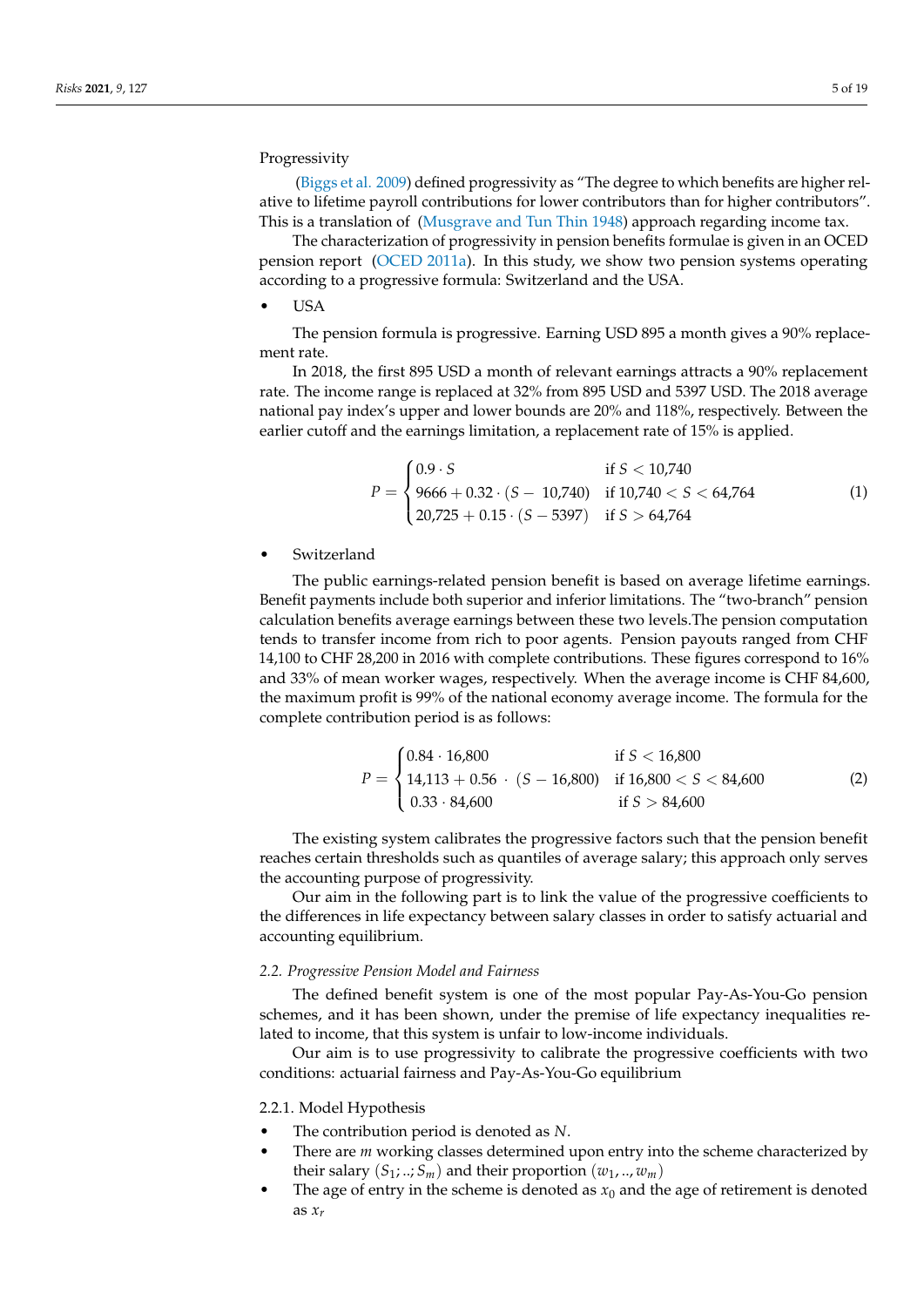# Progressivity

[\(Biggs et al. 2009\)](#page-17-25) defined progressivity as "The degree to which benefits are higher relative to lifetime payroll contributions for lower contributors than for higher contributors". This is a translation of [\(Musgrave and Tun Thin 1948\)](#page-17-26) approach regarding income tax.

The characterization of progressivity in pension benefits formulae is given in an OCED pension report [\(OCED 2011a\)](#page-17-27). In this study, we show two pension systems operating according to a progressive formula: Switzerland and the USA.

• USA

The pension formula is progressive. Earning USD 895 a month gives a 90% replacement rate.

In 2018, the first 895 USD a month of relevant earnings attracts a 90% replacement rate. The income range is replaced at 32% from 895 USD and 5397 USD. The 2018 average national pay index's upper and lower bounds are 20% and 118%, respectively. Between the earlier cutoff and the earnings limitation, a replacement rate of 15% is applied.

$$
P = \begin{cases} 0.9 \cdot S & \text{if } S < 10,740 \\ 9666 + 0.32 \cdot (S - 10,740) & \text{if } 10,740 < S < 64,764 \\ 20,725 + 0.15 \cdot (S - 5397) & \text{if } S > 64,764 \end{cases} \tag{1}
$$

**Switzerland** 

The public earnings-related pension benefit is based on average lifetime earnings. Benefit payments include both superior and inferior limitations. The "two-branch" pension calculation benefits average earnings between these two levels.The pension computation tends to transfer income from rich to poor agents. Pension payouts ranged from CHF 14,100 to CHF 28,200 in 2016 with complete contributions. These figures correspond to 16% and 33% of mean worker wages, respectively. When the average income is CHF 84,600, the maximum profit is 99% of the national economy average income. The formula for the complete contribution period is as follows:

$$
P = \begin{cases} 0.84 \cdot 16,800 & \text{if } S < 16,800 \\ 14,113 + 0.56 & (S - 16,800) & \text{if } 16,800 < S < 84,600 \\ 0.33 \cdot 84,600 & \text{if } S > 84,600 \end{cases} \tag{2}
$$

The existing system calibrates the progressive factors such that the pension benefit reaches certain thresholds such as quantiles of average salary; this approach only serves the accounting purpose of progressivity.

Our aim in the following part is to link the value of the progressive coefficients to the differences in life expectancy between salary classes in order to satisfy actuarial and accounting equilibrium.

#### *2.2. Progressive Pension Model and Fairness*

The defined benefit system is one of the most popular Pay-As-You-Go pension schemes, and it has been shown, under the premise of life expectancy inequalities related to income, that this system is unfair to low-income individuals.

Our aim is to use progressivity to calibrate the progressive coefficients with two conditions: actuarial fairness and Pay-As-You-Go equilibrium

2.2.1. Model Hypothesis

- The contribution period is denoted as *N*.
- There are *m* working classes determined upon entry into the scheme characterized by their salary  $(S_1; \ldots; S_m)$  and their proportion  $(w_1, \ldots, w_m)$
- The age of entry in the scheme is denoted as  $x_0$  and the age of retirement is denoted as *x<sup>r</sup>*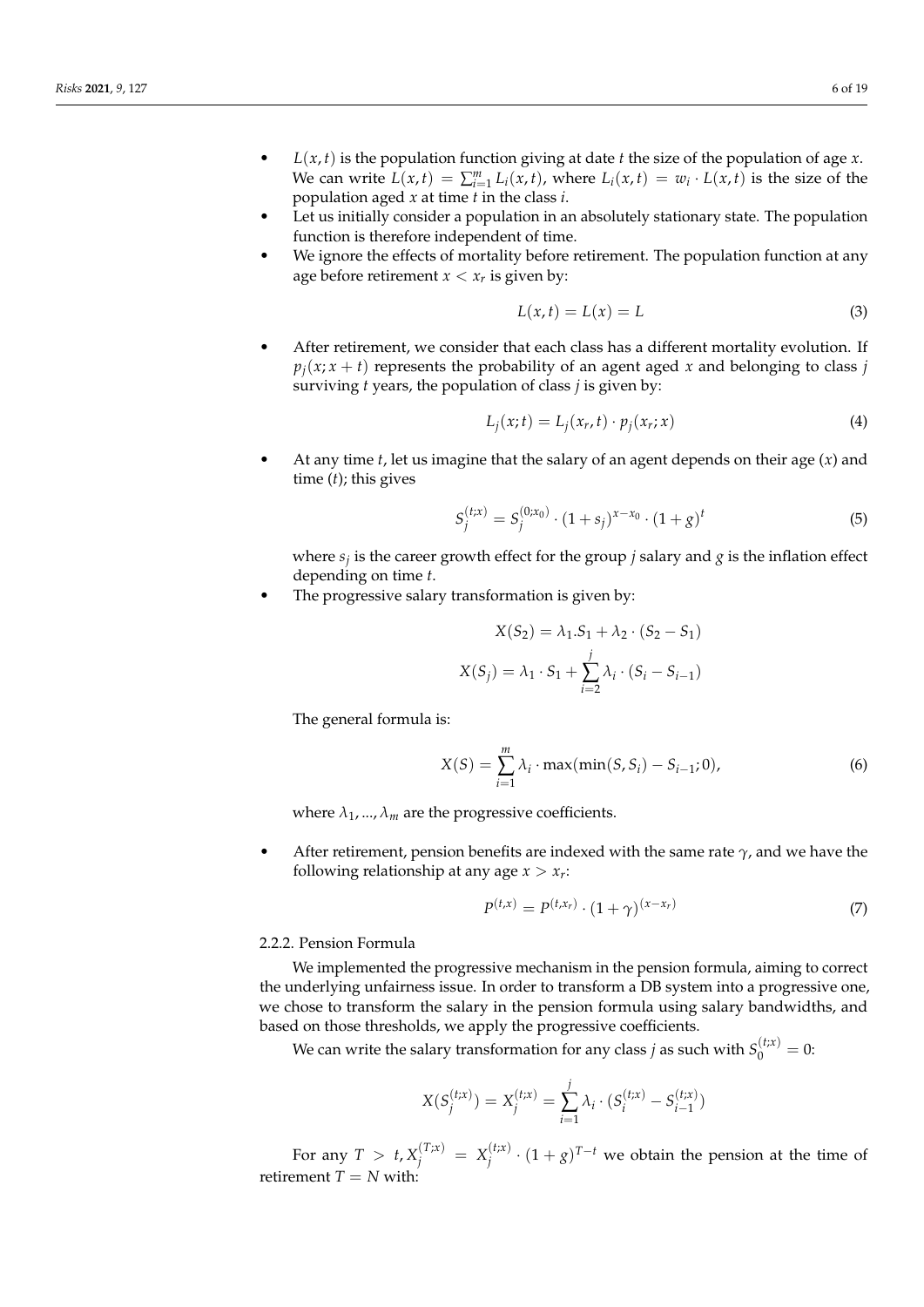- *L*(*x*, *t*) is the population function giving at date *t* the size of the population of age *x*. We can write  $L(x,t) = \sum_{i=1}^{m} L_i(x,t)$ , where  $L_i(x,t) = w_i \cdot L(x,t)$  is the size of the population aged *x* at time *t* in the class *i*.
- Let us initially consider a population in an absolutely stationary state. The population function is therefore independent of time.
- We ignore the effects of mortality before retirement. The population function at any age before retirement  $x < x_r$  is given by:

$$
L(x,t) = L(x) = L \tag{3}
$$

After retirement, we consider that each class has a different mortality evolution. If  $p_i(x; x + t)$  represents the probability of an agent aged *x* and belonging to class *j* surviving *t* years, the population of class *j* is given by:

$$
L_j(x;t) = L_j(x_r, t) \cdot p_j(x_r; x)
$$
\n(4)

• At any time *t*, let us imagine that the salary of an agent depends on their age (*x*) and time (*t*); this gives

$$
S_j^{(t;x)} = S_j^{(0;x_0)} \cdot (1+s_j)^{x-x_0} \cdot (1+g)^t \tag{5}
$$

where *s<sup>j</sup>* is the career growth effect for the group *j* salary and *g* is the inflation effect depending on time *t*.

The progressive salary transformation is given by:

$$
X(S_2) = \lambda_1 . S_1 + \lambda_2 . (S_2 - S_1)
$$
  

$$
X(S_j) = \lambda_1 . S_1 + \sum_{i=2}^{j} \lambda_i . (S_i - S_{i-1})
$$

The general formula is:

$$
X(S) = \sum_{i=1}^{m} \lambda_i \cdot \max(\min(S, S_i) - S_{i-1}; 0),
$$
 (6)

where  $\lambda_1$ , ...,  $\lambda_m$  are the progressive coefficients.

• After retirement, pension benefits are indexed with the same rate *γ*, and we have the following relationship at any age  $x > x_r$ :

$$
P^{(t,x)} = P^{(t,x_r)} \cdot (1+\gamma)^{(x-x_r)}
$$
 (7)

#### 2.2.2. Pension Formula

We implemented the progressive mechanism in the pension formula, aiming to correct the underlying unfairness issue. In order to transform a DB system into a progressive one, we chose to transform the salary in the pension formula using salary bandwidths, and based on those thresholds, we apply the progressive coefficients.

We can write the salary transformation for any class  $j$  as such with  $S_0^{(t;x)}=0$ :

$$
X(S_j^{(t;x)}) = X_j^{(t;x)} = \sum_{i=1}^j \lambda_i \cdot (S_i^{(t;x)} - S_{i-1}^{(t;x)})
$$

For any  $T > t$ ,  $X_j^{(T;x)} = X_j^{(t;x)}$  $\int_j^{(t;x)} (1+g)^{T-t}$  we obtain the pension at the time of retirement  $T = N$  with: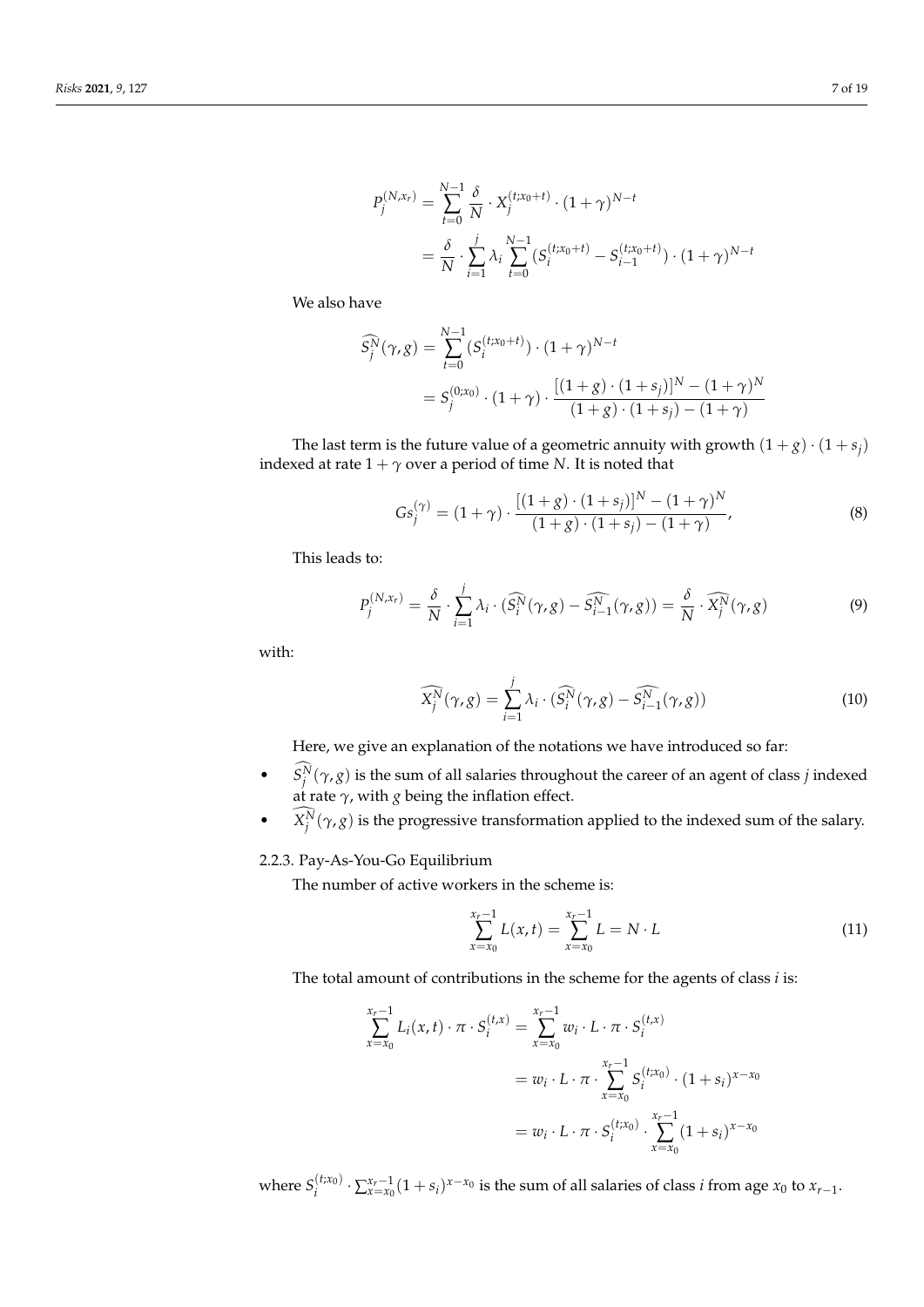$$
P_j^{(N,x_r)} = \sum_{t=0}^{N-1} \frac{\delta}{N} \cdot X_j^{(t;x_0+t)} \cdot (1+\gamma)^{N-t}
$$
  
=  $\frac{\delta}{N} \cdot \sum_{i=1}^j \lambda_i \sum_{t=0}^{N-1} (S_i^{(t;x_0+t)} - S_{i-1}^{(t;x_0+t)}) \cdot (1+\gamma)^{N-t}$ 

We also have

$$
\widehat{S}_j^N(\gamma, g) = \sum_{t=0}^{N-1} (S_i^{(t; x_0+t)}) \cdot (1+\gamma)^{N-t}
$$
  
=  $S_j^{(0; x_0)} \cdot (1+\gamma) \cdot \frac{[(1+g) \cdot (1+s_j)]^N - (1+\gamma)^N}{(1+g) \cdot (1+s_j) - (1+\gamma)}$ 

The last term is the future value of a geometric annuity with growth  $(1+g) \cdot (1+s_j)$ indexed at rate  $1 + \gamma$  over a period of time *N*. It is noted that

$$
Gs_j^{(\gamma)} = (1+\gamma) \cdot \frac{[(1+g)\cdot(1+s_j)]^N - (1+\gamma)^N}{(1+g)\cdot(1+s_j) - (1+\gamma)},
$$
\n(8)

This leads to:

$$
P_j^{(N,x_r)} = \frac{\delta}{N} \cdot \sum_{i=1}^j \lambda_i \cdot (\widehat{S_i^N}(\gamma, g) - \widehat{S_{i-1}^N}(\gamma, g)) = \frac{\delta}{N} \cdot \widehat{X_j^N}(\gamma, g)
$$
(9)

with:

$$
\widehat{X_j^N}(\gamma, g) = \sum_{i=1}^j \lambda_i \cdot (\widehat{S_i^N}(\gamma, g) - \widehat{S_{i-1}^N}(\gamma, g)) \tag{10}
$$

Here, we give an explanation of the notations we have introduced so far:

- *S*<sup>*N*</sup> $(\gamma, g)$  is the sum of all salaries throughout the career of an agent of class *j* indexed at rate *γ*, with *g* being the inflation effect.
- $X_j^N(\gamma, g)$  is the progressive transformation applied to the indexed sum of the salary.

# 2.2.3. Pay-As-You-Go Equilibrium

The number of active workers in the scheme is:

$$
\sum_{x=x_0}^{x_r-1} L(x,t) = \sum_{x=x_0}^{x_r-1} L = N \cdot L \tag{11}
$$

The total amount of contributions in the scheme for the agents of class *i* is:

$$
\sum_{x=x_0}^{x_r-1} L_i(x, t) \cdot \pi \cdot S_i^{(t,x)} = \sum_{x=x_0}^{x_r-1} w_i \cdot L \cdot \pi \cdot S_i^{(t,x)}
$$
  
=  $w_i \cdot L \cdot \pi \cdot \sum_{x=x_0}^{x_r-1} S_i^{(t,x_0)} \cdot (1+s_i)^{x-x_0}$   
=  $w_i \cdot L \cdot \pi \cdot S_i^{(t,x_0)} \cdot \sum_{x=x_0}^{x_r-1} (1+s_i)^{x-x_0}$ 

where  $S_i^{(t;x_0)} \cdot \sum_{x=x_0}^{x_r-1} (1+s_i)^{x-x_0}$  is the sum of all salaries of class *i* from age  $x_0$  to  $x_{r-1}$ .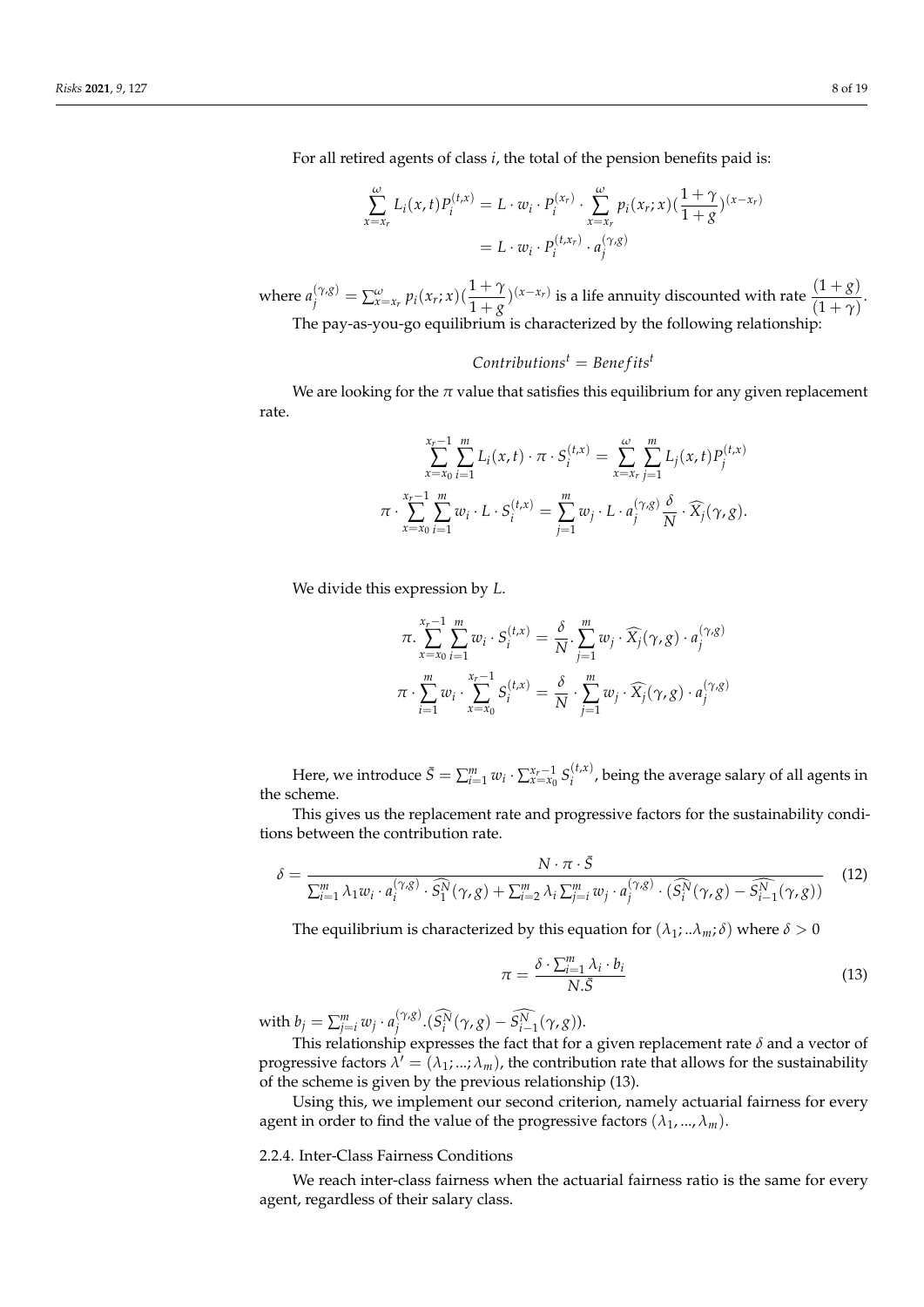For all retired agents of class *i*, the total of the pension benefits paid is:

$$
\sum_{x=x_r}^{\omega} L_i(x, t) P_i^{(t,x)} = L \cdot w_i \cdot P_i^{(x_r)} \cdot \sum_{x=x_r}^{\omega} p_i(x_r; x) \left(\frac{1+\gamma}{1+g}\right)^{(x-x_r)}
$$

$$
= L \cdot w_i \cdot P_i^{(t,x_r)} \cdot a_j^{(\gamma, g)}
$$

where  $a_j^{(\gamma, g)} = \sum_{x=x_r}^{\omega} p_i(x_r; x) (\frac{1+\gamma}{1+g})^{(x-x_r)}$  is a life annuity discounted with rate  $\frac{(1+g)}{(1+\gamma)}$ . The pay-as-you-go equilibrium is characterized by the following relationship:

# $Contributions<sup>t</sup> = Benefits<sup>t</sup>$

We are looking for the  $\pi$  value that satisfies this equilibrium for any given replacement rate.

$$
\sum_{x=x_0}^{x_r-1} \sum_{i=1}^m L_i(x,t) \cdot \pi \cdot S_i^{(t,x)} = \sum_{x=x_r}^{\omega} \sum_{j=1}^m L_j(x,t) P_j^{(t,x)}
$$

$$
\pi \cdot \sum_{x=x_0}^{x_r-1} \sum_{i=1}^m w_i \cdot L \cdot S_i^{(t,x)} = \sum_{j=1}^m w_j \cdot L \cdot a_j^{(\gamma, g)} \frac{\delta}{N} \cdot \widehat{X}_j(\gamma, g).
$$

We divide this expression by *L*.

$$
\pi \cdot \sum_{x=x_0}^{x_r-1} \sum_{i=1}^m w_i \cdot S_i^{(t,x)} = \frac{\delta}{N} \cdot \sum_{j=1}^m w_j \cdot \widehat{X}_j(\gamma, g) \cdot a_j^{(\gamma, g)}
$$

$$
\pi \cdot \sum_{i=1}^m w_i \cdot \sum_{x=x_0}^{x_r-1} S_i^{(t,x)} = \frac{\delta}{N} \cdot \sum_{j=1}^m w_j \cdot \widehat{X}_j(\gamma, g) \cdot a_j^{(\gamma, g)}
$$

Here, we introduce  $\bar{S} = \sum_{i=1}^{m} w_i \cdot \sum_{x=x_0}^{x_r-1} S_i^{(t,x)}$  $i_i^{(t,x)}$ , being the average salary of all agents in the scheme.

This gives us the replacement rate and progressive factors for the sustainability conditions between the contribution rate.

$$
\delta = \frac{N \cdot \pi \cdot \bar{S}}{\sum_{i=1}^{m} \lambda_1 w_i \cdot a_i^{(\gamma, g)} \cdot \widehat{S}_1^N(\gamma, g) + \sum_{i=2}^{m} \lambda_i \sum_{j=i}^{m} w_j \cdot a_j^{(\gamma, g)} \cdot (\widehat{S}_i^N(\gamma, g) - \widehat{S}_{i-1}^N(\gamma, g))}
$$
(12)

The equilibrium is characterized by this equation for  $(\lambda_1; ... \lambda_m; \delta)$  where  $\delta > 0$ 

$$
\pi = \frac{\delta \cdot \sum_{i=1}^{m} \lambda_i \cdot b_i}{N.\bar{S}} \tag{13}
$$

with  $b_j = \sum_{j=i}^m w_j \cdot a_j^{(\gamma, g)}$  $\int_{j}^{(\gamma_{\ell}g)} (S_i^N(\gamma, g) - S_{i-1}^N(\gamma, g)).$ 

This relationship expresses the fact that for a given replacement rate *δ* and a vector of progressive factors  $\lambda' = (\lambda_1; ...; \lambda_m)$ , the contribution rate that allows for the sustainability of the scheme is given by the previous relationship (13).

Using this, we implement our second criterion, namely actuarial fairness for every agent in order to find the value of the progressive factors  $(\lambda_1, ..., \lambda_m)$ .

# 2.2.4. Inter-Class Fairness Conditions

We reach inter-class fairness when the actuarial fairness ratio is the same for every agent, regardless of their salary class.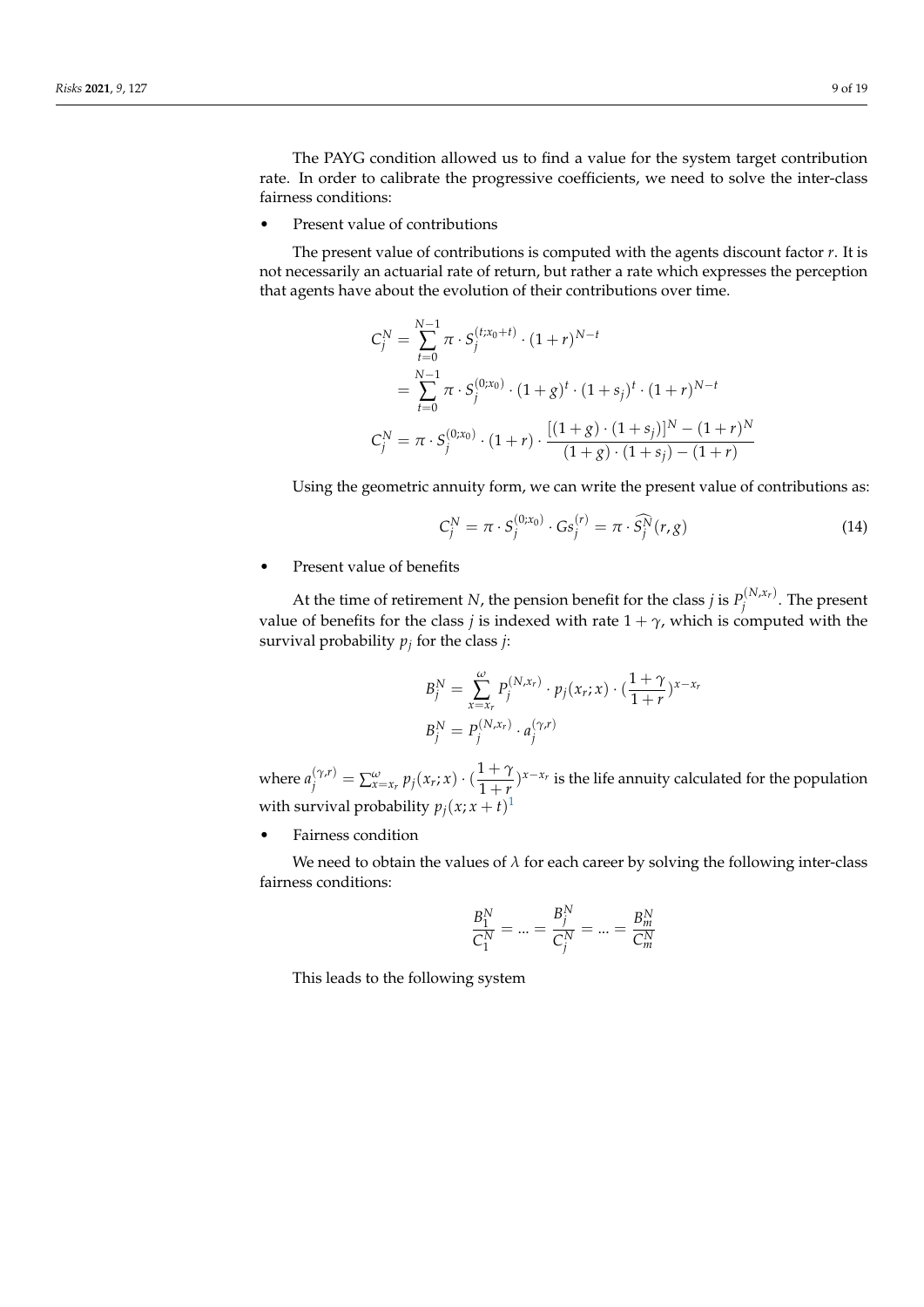The PAYG condition allowed us to find a value for the system target contribution rate. In order to calibrate the progressive coefficients, we need to solve the inter-class fairness conditions:

Present value of contributions

The present value of contributions is computed with the agents discount factor *r*. It is not necessarily an actuarial rate of return, but rather a rate which expresses the perception that agents have about the evolution of their contributions over time.

$$
C_j^N = \sum_{t=0}^{N-1} \pi \cdot S_j^{(t;x_0+t)} \cdot (1+r)^{N-t}
$$
  
= 
$$
\sum_{t=0}^{N-1} \pi \cdot S_j^{(0;x_0)} \cdot (1+g)^t \cdot (1+s_j)^t \cdot (1+r)^{N-t}
$$
  

$$
C_j^N = \pi \cdot S_j^{(0;x_0)} \cdot (1+r) \cdot \frac{[(1+g) \cdot (1+s_j)]^N - (1+r)^N}{(1+g) \cdot (1+s_j) - (1+r)}
$$

Using the geometric annuity form, we can write the present value of contributions as:

$$
C_j^N = \pi \cdot S_j^{(0;x_0)} \cdot G s_j^{(r)} = \pi \cdot \widehat{S_j^N}(r, g)
$$
\n(14)

• Present value of benefits

At the time of retirement *N*, the pension benefit for the class *j* is  $P_i^{(N,x_r)}$  $j^{(N, \lambda_T)}$ . The present value of benefits for the class *j* is indexed with rate  $1 + \gamma$ , which is computed with the survival probability *p<sup>j</sup>* for the class *j*:

$$
B_j^N = \sum_{x=x_r}^{\omega} P_j^{(N,x_r)} \cdot p_j(x_r; x) \cdot (\frac{1+\gamma}{1+r})^{x-x_r}
$$
  

$$
B_j^N = P_j^{(N,x_r)} \cdot a_j^{(\gamma,r)}
$$

where  $a_j^{(\gamma,r)} = \sum_{x=x_r}^{\omega} p_j(x_r; x) \cdot (\frac{1+\gamma}{1+r})$  $\frac{1+\gamma}{1+\gamma}$ <sup>*x*−*x<sub>r</sub>*</sup> is the life annuity calculated for the population with survival probability  $p_j(x; x + t)^{1}$  $p_j(x; x + t)^{1}$  $p_j(x; x + t)^{1}$ 

• Fairness condition

We need to obtain the values of  $\lambda$  for each career by solving the following inter-class fairness conditions:

$$
\frac{B_1^N}{C_1^N} = ... = \frac{B_j^N}{C_j^N} = ... = \frac{B_m^N}{C_m^N}
$$

This leads to the following system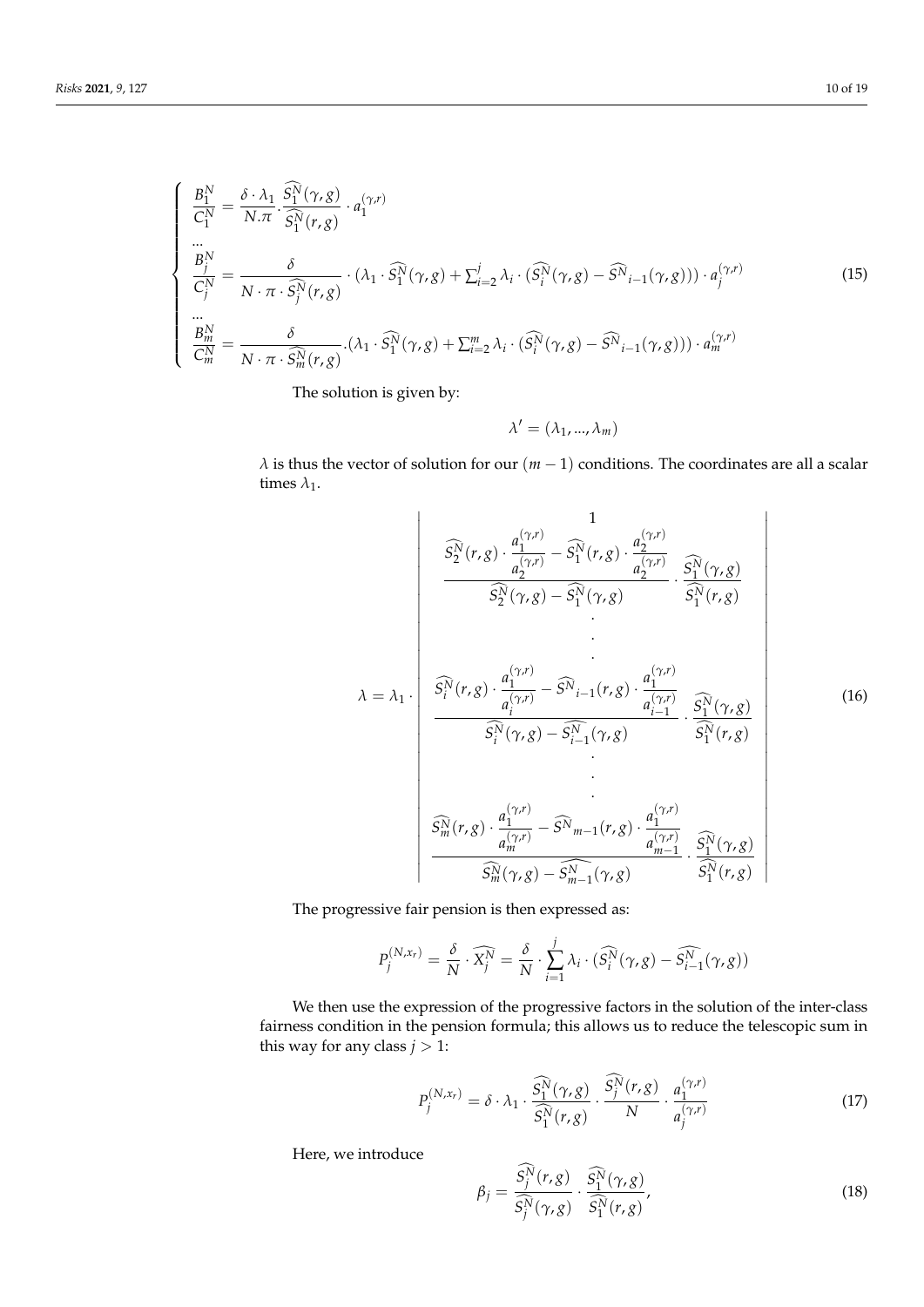$$
\begin{cases}\n\frac{B_1^N}{C_1^N} = \frac{\delta \cdot \lambda_1}{N.\pi} \cdot \frac{\widehat{S_1^N}(\gamma, g)}{\widehat{S_1^N}(\gamma, g)} \cdot a_1^{(\gamma, r)} \\
\vdots \\
\frac{B_j^N}{C_j^N} = \frac{\delta}{N \cdot \pi \cdot \widehat{S_j^N}(\gamma, g)} \cdot (\lambda_1 \cdot \widehat{S_1^N}(\gamma, g) + \sum_{i=2}^j \lambda_i \cdot (\widehat{S_i^N}(\gamma, g) - \widehat{S^N}_{i-1}(\gamma, g))) \cdot a_j^{(\gamma, r)} \\
\vdots \\
\frac{B_m^N}{C_m^N} = \frac{\delta}{N \cdot \pi \cdot \widehat{S_m^N}(\gamma, g)} \cdot (\lambda_1 \cdot \widehat{S_1^N}(\gamma, g) + \sum_{i=2}^m \lambda_i \cdot (\widehat{S_i^N}(\gamma, g) - \widehat{S^N}_{i-1}(\gamma, g))) \cdot a_m^{(\gamma, r)}\n\end{cases} (15)
$$

The solution is given by:

$$
\lambda' = (\lambda_1, ..., \lambda_m)
$$

*λ* is thus the vector of solution for our  $(m - 1)$  conditions. The coordinates are all a scalar times  $\lambda_1$ .

$$
\frac{\widehat{S}_{2}^{N}(r,g) \cdot \frac{a_{1}^{(\gamma,r)}}{a_{2}^{(\gamma,r)}} - \widehat{S}_{1}^{N}(r,g) \cdot \frac{a_{2}^{(\gamma,r)}}{a_{2}^{(\gamma,r)}} \cdot \frac{\widehat{S}_{1}^{N}(\gamma,g)}{\widehat{S}_{1}^{N}(r,g)}
$$
\n
$$
\lambda = \lambda_{1} \cdot \frac{\widehat{S}_{i}^{N}(r,g) \cdot \frac{a_{1}^{(\gamma,r)}}{a_{i}^{(\gamma,r)}} - \widehat{S}_{i-1}^{N}(r,g) \cdot \frac{a_{1}^{(\gamma,r)}}{a_{i-1}^{(\gamma,r)}}}{\widehat{S}_{i}^{N}(\gamma,g) - \widehat{S}_{i-1}^{N}(\gamma,g)} \cdot \frac{\widehat{S}_{1}^{N}(\gamma,g)}{\widehat{S}_{1}^{N}(r,g)}
$$
\n
$$
\vdots
$$
\n
$$
\frac{\widehat{S}_{m}^{N}(r,g) \cdot \frac{a_{1}^{(\gamma,r)}}{a_{m}^{(\gamma,r)}} - \widehat{S}_{m-1}^{N}(r,g)}{\widehat{S}_{m}^{N}(r,g)}
$$
\n
$$
\frac{\widehat{S}_{m}^{N}(r,g) \cdot \frac{a_{1}^{(\gamma,r)}}{a_{m}^{(\gamma,r)}} - \widehat{S}_{m-1}^{N}(r,g) \cdot \frac{a_{1}^{(\gamma,r)}}{a_{m-1}^{(\gamma,r)}}}{\widehat{S}_{m}^{N}(\gamma,g) - \widehat{S}_{m-1}^{N}(\gamma,g)}
$$
\n
$$
\frac{\widehat{S}_{1}^{N}(\gamma,g)}{\widehat{S}_{1}^{N}(r,g)}
$$
\n
$$
\frac{\widehat{S}_{1}^{N}(\gamma,g)}{\widehat{S}_{1}^{N}(r,g)}
$$
\n
$$
\frac{\widehat{S}_{1}^{N}(\gamma,g)}{\widehat{S}_{1}^{N}(\gamma,g) - \widehat{S}_{m-1}^{N}(\gamma,g)}
$$
\n
$$
\frac{\widehat{S}_{1}^{N}(\gamma,g)}{\widehat{S}_{1}^{N}(r,g)}
$$
\n
$$
\frac{\widehat{S}_{1}^{N}(\gamma,g)}{\widehat{S}_{1}^{N}(\gamma,g) - \widehat{S}_{m-1}^{N}(\gamma,g) - \widehat{S}_{m-1}^{N}(\gamma,g) - \widehat{S}_{1}^{N}(r
$$

The progressive fair pension is then expressed as:

$$
P_j^{(N,x_r)} = \frac{\delta}{N} \cdot \widehat{X_j^N} = \frac{\delta}{N} \cdot \sum_{i=1}^j \lambda_i \cdot (\widehat{S_i^N}(\gamma, g) - \widehat{S_{i-1}^N}(\gamma, g))
$$

We then use the expression of the progressive factors in the solution of the inter-class fairness condition in the pension formula; this allows us to reduce the telescopic sum in this way for any class  $j > 1$ :

$$
P_j^{(N,x_r)} = \delta \cdot \lambda_1 \cdot \frac{\widehat{S_1^N}(\gamma, g)}{\widehat{S_1^N}(r, g)} \cdot \frac{\widehat{S_j^N}(r, g)}{N} \cdot \frac{a_1^{(\gamma, r)}}{a_j^{(\gamma, r)}}
$$
(17)

Here, we introduce

$$
\beta_j = \frac{\widehat{S}_j^{\widehat{N}}(r,g)}{\widehat{S}_j^{\widehat{N}}(\gamma,g)} \cdot \frac{\widehat{S}_1^{\widehat{N}}(\gamma,g)}{\widehat{S}_1^{\widehat{N}}(r,g)},
$$
\n(18)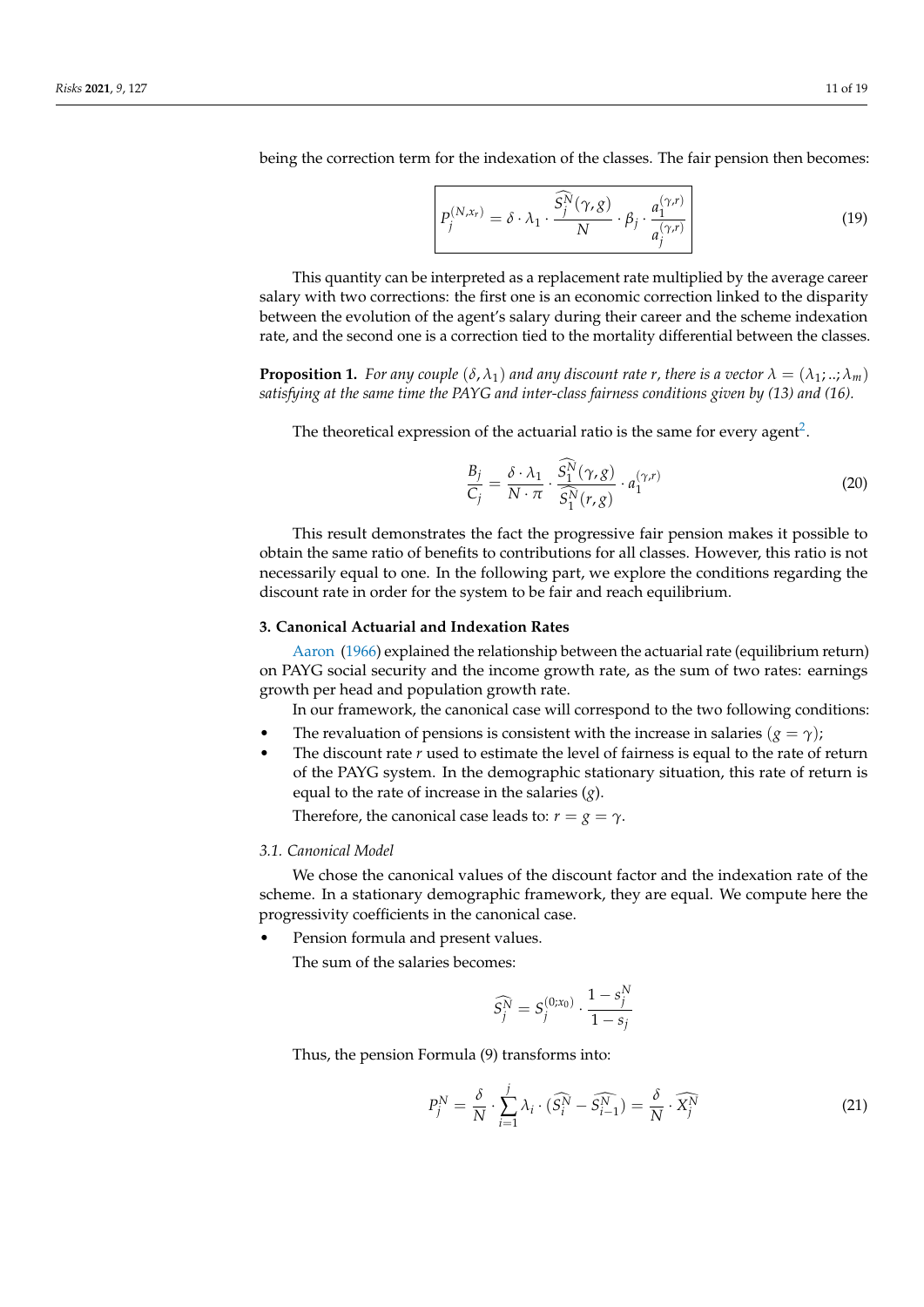being the correction term for the indexation of the classes. The fair pension then becomes:

$$
\left| P_j^{(N,x_r)} = \delta \cdot \lambda_1 \cdot \frac{\widehat{S}_j^N(\gamma, g)}{N} \cdot \beta_j \cdot \frac{a_1^{(\gamma, r)}}{a_j^{(\gamma, r)}} \right| \tag{19}
$$

This quantity can be interpreted as a replacement rate multiplied by the average career salary with two corrections: the first one is an economic correction linked to the disparity between the evolution of the agent's salary during their career and the scheme indexation rate, and the second one is a correction tied to the mortality differential between the classes.

**Proposition 1.** *For any couple*  $(\delta, \lambda_1)$  *and any discount rate r, there is a vector*  $\lambda = (\lambda_1; ...; \lambda_m)$ *satisfying at the same time the PAYG and inter-class fairness conditions given by (13) and (16).*

The theoretical expression of the actuarial ratio is the same for every agent<sup>[2](#page-16-3)</sup>.

$$
\frac{B_j}{C_j} = \frac{\delta \cdot \lambda_1}{N \cdot \pi} \cdot \frac{S_1^N(\gamma, g)}{\widehat{S_1^N}(r, g)} \cdot a_1^{(\gamma, r)}
$$
(20)

This result demonstrates the fact the progressive fair pension makes it possible to obtain the same ratio of benefits to contributions for all classes. However, this ratio is not necessarily equal to one. In the following part, we explore the conditions regarding the discount rate in order for the system to be fair and reach equilibrium.

### <span id="page-10-0"></span>**3. Canonical Actuarial and Indexation Rates**

[Aaron](#page-16-4) [\(1966\)](#page-16-4) explained the relationship between the actuarial rate (equilibrium return) on PAYG social security and the income growth rate, as the sum of two rates: earnings growth per head and population growth rate.

In our framework, the canonical case will correspond to the two following conditions:

- The revaluation of pensions is consistent with the increase in salaries  $(g = \gamma)$ ;
- The discount rate  $r$  used to estimate the level of fairness is equal to the rate of return of the PAYG system. In the demographic stationary situation, this rate of return is equal to the rate of increase in the salaries (*g*).

Therefore, the canonical case leads to:  $r = g = \gamma$ .

## *3.1. Canonical Model*

We chose the canonical values of the discount factor and the indexation rate of the scheme. In a stationary demographic framework, they are equal. We compute here the progressivity coefficients in the canonical case.

Pension formula and present values.

The sum of the salaries becomes:

$$
\widehat{S_j^N} = S_j^{(0;x_0)} \cdot \frac{1 - s_j^N}{1 - s_j}
$$

Thus, the pension Formula (9) transforms into:

$$
P_j^N = \frac{\delta}{N} \cdot \sum_{i=1}^j \lambda_i \cdot (\widehat{S_i^N} - \widehat{S_{i-1}^N}) = \frac{\delta}{N} \cdot \widehat{X_j^N}
$$
(21)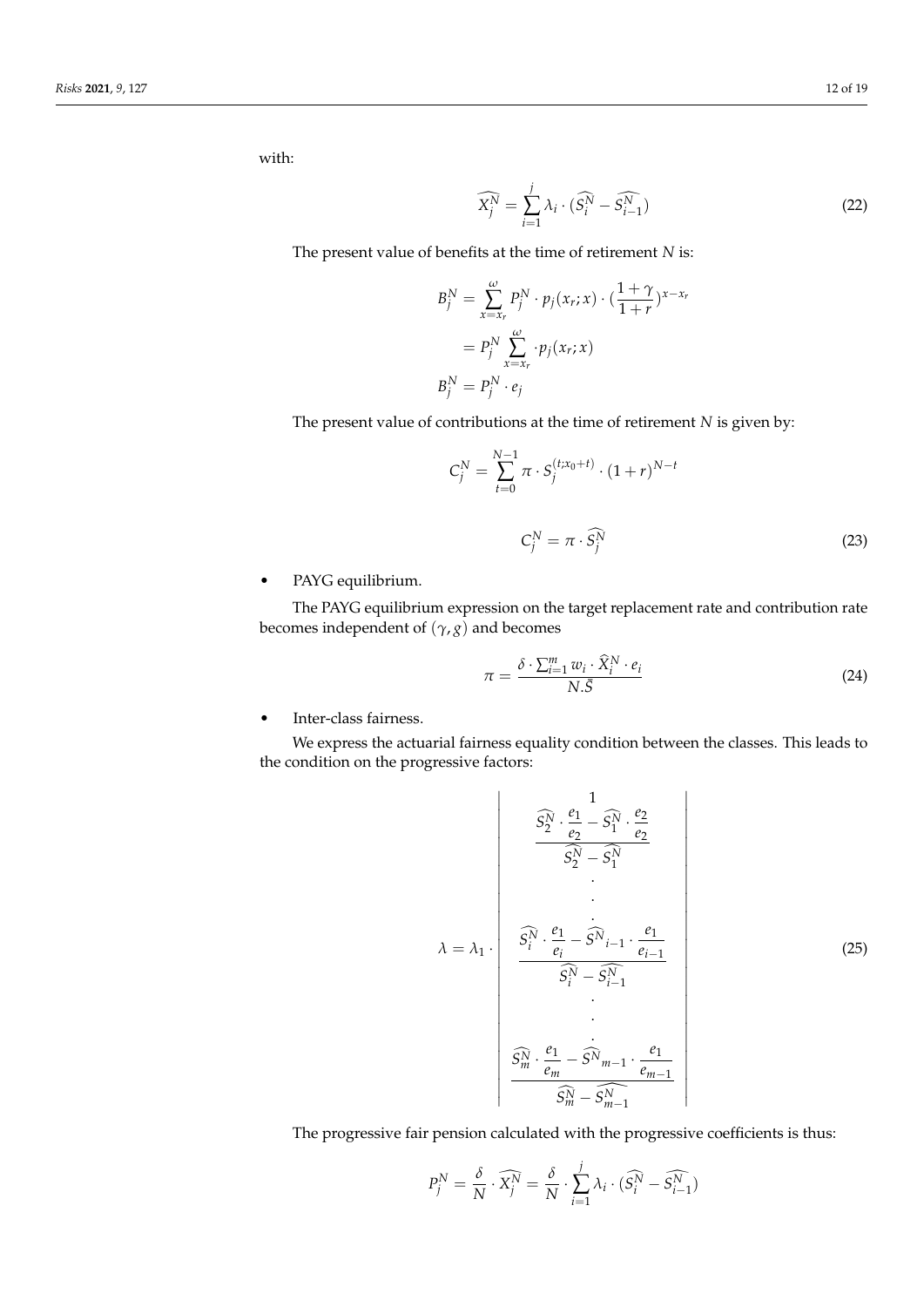with:

$$
\widehat{X_j^N} = \sum_{i=1}^j \lambda_i \cdot (\widehat{S_i^N} - \widehat{S_{i-1}^N})
$$
\n(22)

The present value of benefits at the time of retirement *N* is:

$$
B_j^N = \sum_{x=x_r}^{\omega} P_j^N \cdot p_j(x_r; x) \cdot \left(\frac{1+\gamma}{1+r}\right)^{x-x_r}
$$
  
= 
$$
P_j^N \sum_{x=x_r}^{\omega} \cdot p_j(x_r; x)
$$
  

$$
B_j^N = P_j^N \cdot e_j
$$

The present value of contributions at the time of retirement *N* is given by:

$$
C_j^N = \sum_{t=0}^{N-1} \pi \cdot S_j^{(t; x_0 + t)} \cdot (1+r)^{N-t}
$$
  

$$
C_j^N = \pi \cdot \widehat{S_j^N}
$$
 (23)

• PAYG equilibrium.

The PAYG equilibrium expression on the target replacement rate and contribution rate becomes independent of  $(\gamma, g)$  and becomes

$$
\pi = \frac{\delta \cdot \sum_{i=1}^{m} w_i \cdot \widehat{X}_i^N \cdot e_i}{N.\bar{S}}
$$
\n(24)

• Inter-class fairness.

We express the actuarial fairness equality condition between the classes. This leads to the condition on the progressive factors:

$$
\hat{S}_{2}^{\hat{N}} \cdot \frac{e_{1}}{e_{2}} - \hat{S}_{1}^{\hat{N}} \cdot \frac{e_{2}}{e_{2}}
$$
\n
$$
\hat{S}_{2}^{\hat{N}} - \hat{S}_{1}^{\hat{N}}
$$
\n
$$
\hat{S}_{i}^{\hat{N}} \cdot \frac{e_{1}}{e_{i}} - \hat{S}_{i-1} \cdot \frac{e_{1}}{e_{i-1}}
$$
\n
$$
\hat{S}_{i}^{\hat{N}} - \hat{S}_{i-1}^{\hat{N}}
$$
\n
$$
\cdot
$$
\n
$$
\hat{S}_{m}^{\hat{N}} \cdot \frac{e_{1}}{e_{m}} - \hat{S}_{m-1} \cdot \frac{e_{1}}{e_{m-1}}
$$
\n
$$
\hat{S}_{m}^{\hat{N}} - \hat{S}_{m-1}^{\hat{N}}
$$
\n
$$
\hat{S}_{m}^{\hat{N}} - \hat{S}_{m-1}^{\hat{N}}
$$
\n(25)

The progressive fair pension calculated with the progressive coefficients is thus:

$$
P_j^N = \frac{\delta}{N} \cdot \widehat{X_j^N} = \frac{\delta}{N} \cdot \sum_{i=1}^j \lambda_i \cdot (\widehat{S_i^N} - \widehat{S_{i-1}^N})
$$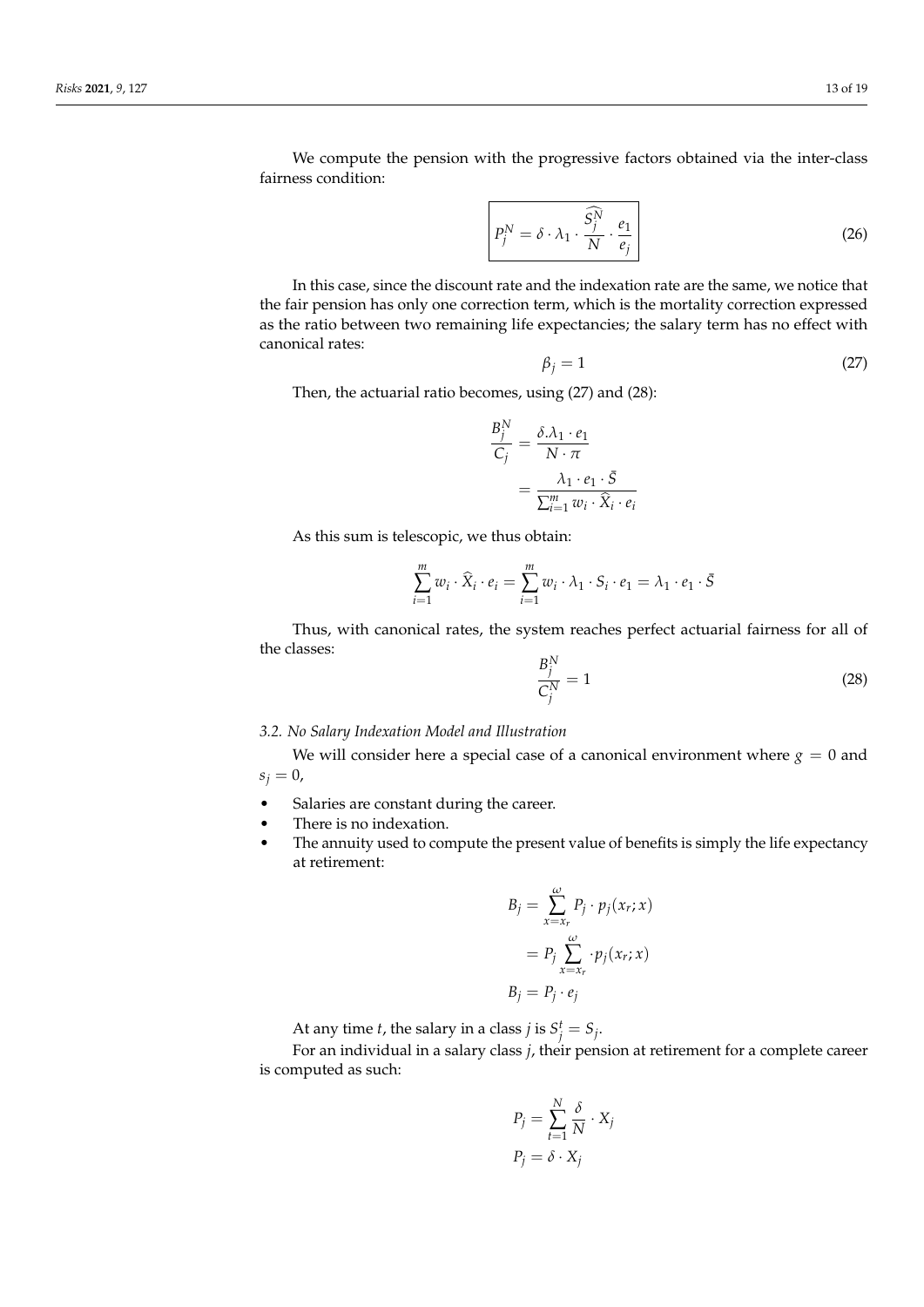We compute the pension with the progressive factors obtained via the inter-class fairness condition:

$$
P_j^N = \delta \cdot \lambda_1 \cdot \frac{\widehat{S}_j^N}{N} \cdot \frac{e_1}{e_j} \qquad (26)
$$

In this case, since the discount rate and the indexation rate are the same, we notice that the fair pension has only one correction term, which is the mortality correction expressed as the ratio between two remaining life expectancies; the salary term has no effect with canonical rates:

$$
\beta_j = 1 \tag{27}
$$

Then, the actuarial ratio becomes, using (27) and (28):

$$
\frac{B_j^N}{C_j} = \frac{\delta \Lambda_1 \cdot e_1}{N \cdot \pi} \n= \frac{\lambda_1 \cdot e_1 \cdot \overline{S}}{\sum_{i=1}^m w_i \cdot \widehat{X}_i \cdot e_i}
$$

As this sum is telescopic, we thus obtain:

$$
\sum_{i=1}^{m} w_i \cdot \widehat{X}_i \cdot e_i = \sum_{i=1}^{m} w_i \cdot \lambda_1 \cdot S_i \cdot e_1 = \lambda_1 \cdot e_1 \cdot \overline{S}
$$

Thus, with canonical rates, the system reaches perfect actuarial fairness for all of the classes:

$$
\frac{B_j^N}{C_j^N} = 1\tag{28}
$$

## *3.2. No Salary Indexation Model and Illustration*

We will consider here a special case of a canonical environment where  $g = 0$  and  $s_j = 0$ ,

- Salaries are constant during the career.
- There is no indexation.
- The annuity used to compute the present value of benefits is simply the life expectancy at retirement:

$$
B_j = \sum_{x=x_r}^{\omega} P_j \cdot p_j(x_r; x)
$$
  
= 
$$
P_j \sum_{x=x_r}^{\omega} \cdot p_j(x_r; x)
$$
  

$$
B_j = P_j \cdot e_j
$$

At any time *t*, the salary in a class *j* is  $S_j^t = S_j$ .

For an individual in a salary class *j*, their pension at retirement for a complete career is computed as such:

$$
P_j = \sum_{t=1}^{N} \frac{\delta}{N} \cdot X_j
$$

$$
P_j = \delta \cdot X_j
$$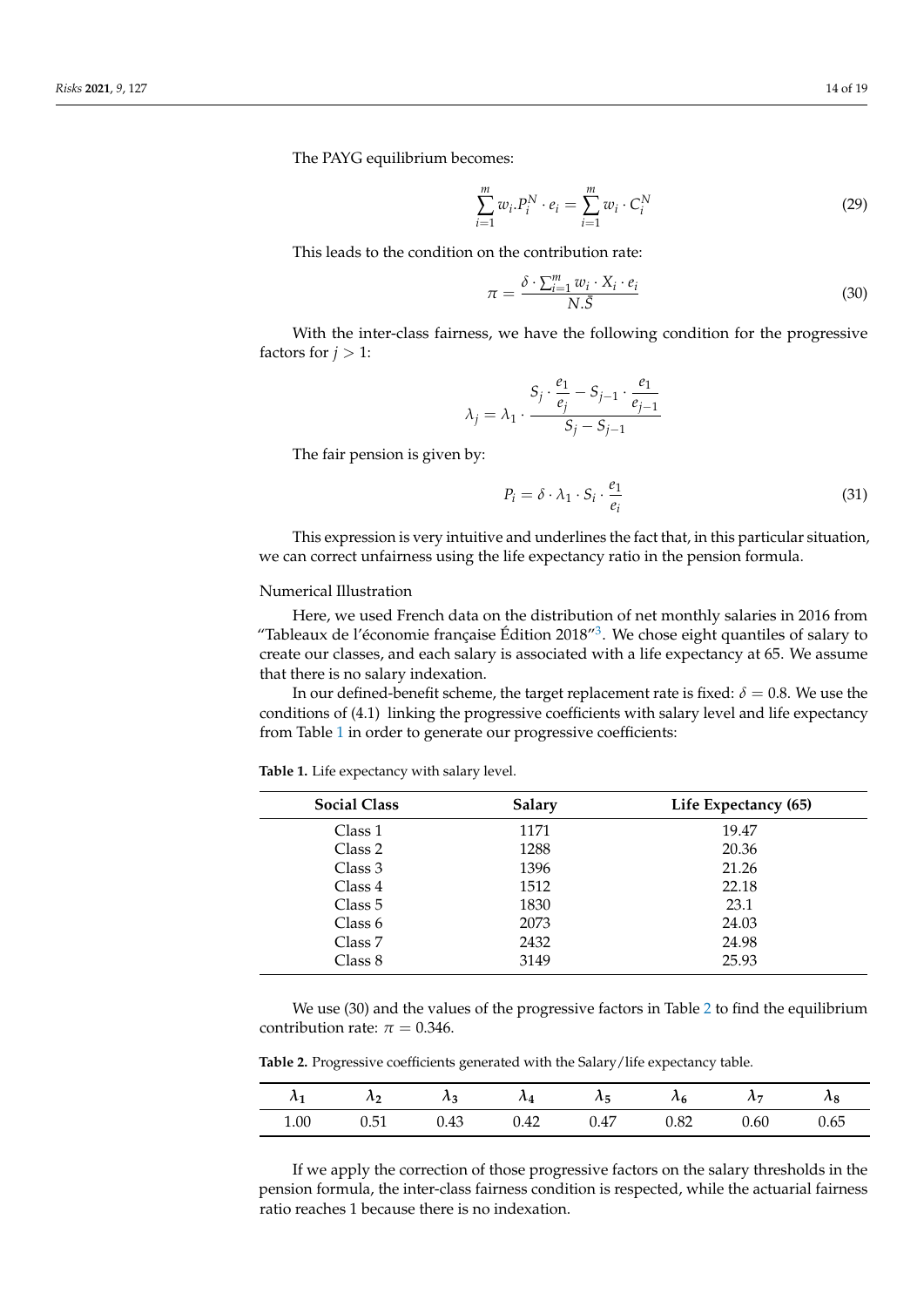The PAYG equilibrium becomes:

$$
\sum_{i=1}^{m} w_i P_i^N \cdot e_i = \sum_{i=1}^{m} w_i \cdot C_i^N
$$
 (29)

This leads to the condition on the contribution rate:

$$
\pi = \frac{\delta \cdot \sum_{i=1}^{m} w_i \cdot X_i \cdot e_i}{N.\bar{S}}
$$
\n(30)

With the inter-class fairness, we have the following condition for the progressive factors for  $j > 1$ :

$$
\lambda_j = \lambda_1 \cdot \frac{S_j \cdot \frac{e_1}{e_j} - S_{j-1} \cdot \frac{e_1}{e_{j-1}}}{S_j - S_{j-1}}
$$

The fair pension is given by:

$$
P_i = \delta \cdot \lambda_1 \cdot S_i \cdot \frac{e_1}{e_i} \tag{31}
$$

This expression is very intuitive and underlines the fact that, in this particular situation, we can correct unfairness using the life expectancy ratio in the pension formula.

#### Numerical Illustration

Here, we used French data on the distribution of net monthly salaries in 2016 from "Tableaux de l'économie française Édition 2018"<sup>[3](#page-16-5)</sup>. We chose eight quantiles of salary to create our classes, and each salary is associated with a life expectancy at 65. We assume that there is no salary indexation.

In our defined-benefit scheme, the target replacement rate is fixed:  $\delta = 0.8$ . We use the conditions of (4.1) linking the progressive coefficients with salary level and life expectancy from Table [1](#page-13-0) in order to generate our progressive coefficients:

<span id="page-13-0"></span>**Table 1.** Life expectancy with salary level.

| <b>Social Class</b> | <b>Salary</b> | Life Expectancy (65) |
|---------------------|---------------|----------------------|
| Class 1             | 1171          | 19.47                |
| Class 2             | 1288          | 20.36                |
| Class 3             | 1396          | 21.26                |
| Class 4             | 1512          | 22.18                |
| Class 5             | 1830          | 23.1                 |
| Class 6             | 2073          | 24.03                |
| Class 7             | 2432          | 24.98                |
| Class 8             | 3149          | 25.93                |

We use (30) and the values of the progressive factors in Table [2](#page-13-1) to find the equilibrium contribution rate:  $\pi = 0.346$ .

<span id="page-13-1"></span>

| <b>Table 2.</b> Progressive coefficients generated with the Salary/life expectancy table. |  |  |  |  |
|-------------------------------------------------------------------------------------------|--|--|--|--|
|-------------------------------------------------------------------------------------------|--|--|--|--|

|      | $\lambda_2$ |      |      | $\lambda_3$ $\lambda_4$ $\lambda_5$ $\lambda_6$ |      | $\lambda_7$ | $\lambda_8$ |
|------|-------------|------|------|-------------------------------------------------|------|-------------|-------------|
| 1.00 | 0.51        | 0.43 | 0.42 | 0.47                                            | 0.82 | 0.60        | 0.65        |

If we apply the correction of those progressive factors on the salary thresholds in the pension formula, the inter-class fairness condition is respected, while the actuarial fairness ratio reaches 1 because there is no indexation.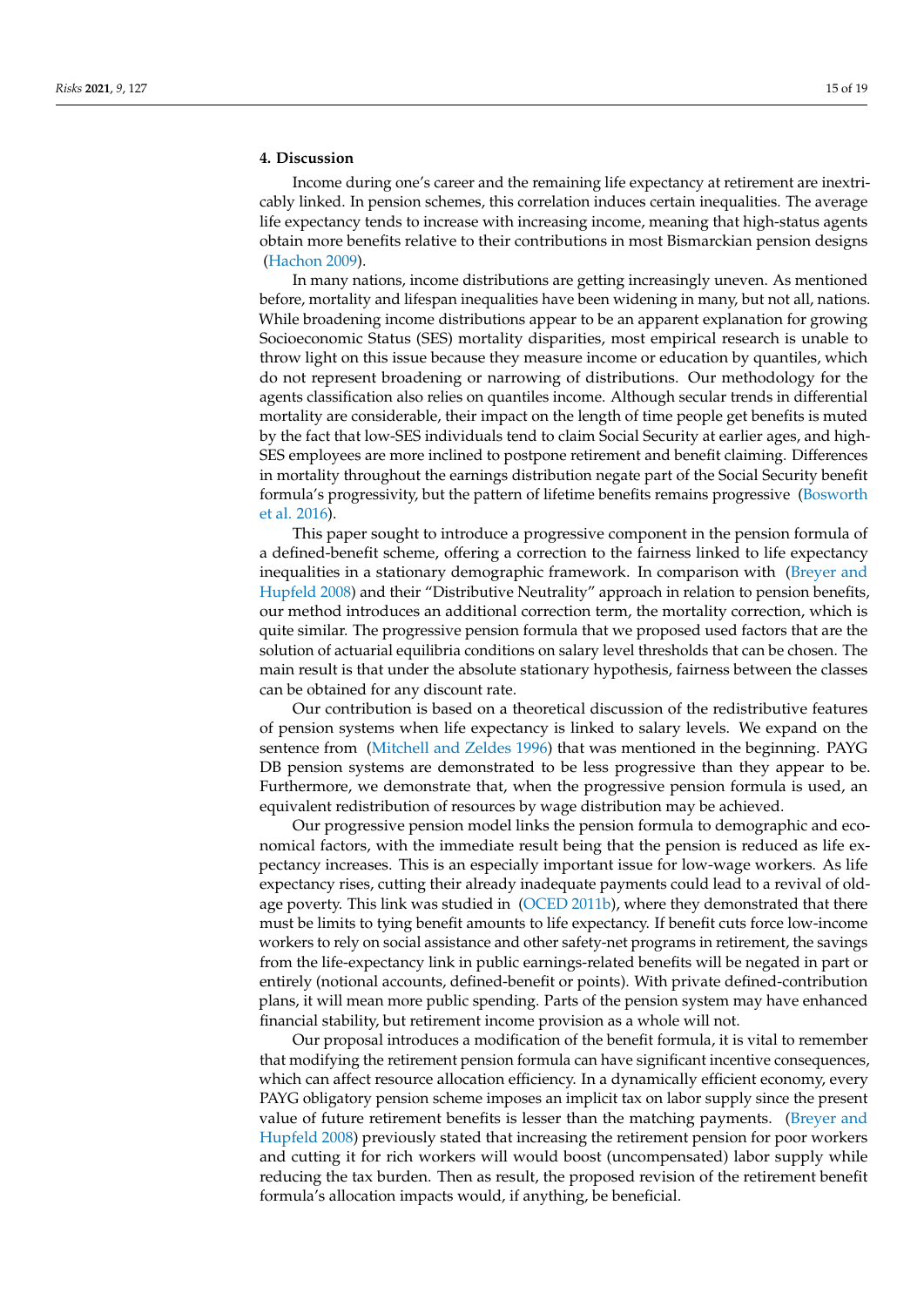# <span id="page-14-0"></span>**4. Discussion**

Income during one's career and the remaining life expectancy at retirement are inextricably linked. In pension schemes, this correlation induces certain inequalities. The average life expectancy tends to increase with increasing income, meaning that high-status agents obtain more benefits relative to their contributions in most Bismarckian pension designs [\(Hachon 2009\)](#page-17-24).

In many nations, income distributions are getting increasingly uneven. As mentioned before, mortality and lifespan inequalities have been widening in many, but not all, nations. While broadening income distributions appear to be an apparent explanation for growing Socioeconomic Status (SES) mortality disparities, most empirical research is unable to throw light on this issue because they measure income or education by quantiles, which do not represent broadening or narrowing of distributions. Our methodology for the agents classification also relies on quantiles income. Although secular trends in differential mortality are considerable, their impact on the length of time people get benefits is muted by the fact that low-SES individuals tend to claim Social Security at earlier ages, and high-SES employees are more inclined to postpone retirement and benefit claiming. Differences in mortality throughout the earnings distribution negate part of the Social Security benefit formula's progressivity, but the pattern of lifetime benefits remains progressive [\(Bosworth](#page-17-12) [et al. 2016\)](#page-17-12).

This paper sought to introduce a progressive component in the pension formula of a defined-benefit scheme, offering a correction to the fairness linked to life expectancy inequalities in a stationary demographic framework. In comparison with [\(Breyer and](#page-17-23) [Hupfeld 2008\)](#page-17-23) and their "Distributive Neutrality" approach in relation to pension benefits, our method introduces an additional correction term, the mortality correction, which is quite similar. The progressive pension formula that we proposed used factors that are the solution of actuarial equilibria conditions on salary level thresholds that can be chosen. The main result is that under the absolute stationary hypothesis, fairness between the classes can be obtained for any discount rate.

Our contribution is based on a theoretical discussion of the redistributive features of pension systems when life expectancy is linked to salary levels. We expand on the sentence from [\(Mitchell and Zeldes 1996\)](#page-17-18) that was mentioned in the beginning. PAYG DB pension systems are demonstrated to be less progressive than they appear to be. Furthermore, we demonstrate that, when the progressive pension formula is used, an equivalent redistribution of resources by wage distribution may be achieved.

Our progressive pension model links the pension formula to demographic and economical factors, with the immediate result being that the pension is reduced as life expectancy increases. This is an especially important issue for low-wage workers. As life expectancy rises, cutting their already inadequate payments could lead to a revival of old-age poverty. This link was studied in [\(OCED 2011b\)](#page-17-28), where they demonstrated that there must be limits to tying benefit amounts to life expectancy. If benefit cuts force low-income workers to rely on social assistance and other safety-net programs in retirement, the savings from the life-expectancy link in public earnings-related benefits will be negated in part or entirely (notional accounts, defined-benefit or points). With private defined-contribution plans, it will mean more public spending. Parts of the pension system may have enhanced financial stability, but retirement income provision as a whole will not.

Our proposal introduces a modification of the benefit formula, it is vital to remember that modifying the retirement pension formula can have significant incentive consequences, which can affect resource allocation efficiency. In a dynamically efficient economy, every PAYG obligatory pension scheme imposes an implicit tax on labor supply since the present value of future retirement benefits is lesser than the matching payments. [\(Breyer and](#page-17-23) [Hupfeld 2008\)](#page-17-23) previously stated that increasing the retirement pension for poor workers and cutting it for rich workers will would boost (uncompensated) labor supply while reducing the tax burden. Then as result, the proposed revision of the retirement benefit formula's allocation impacts would, if anything, be beneficial.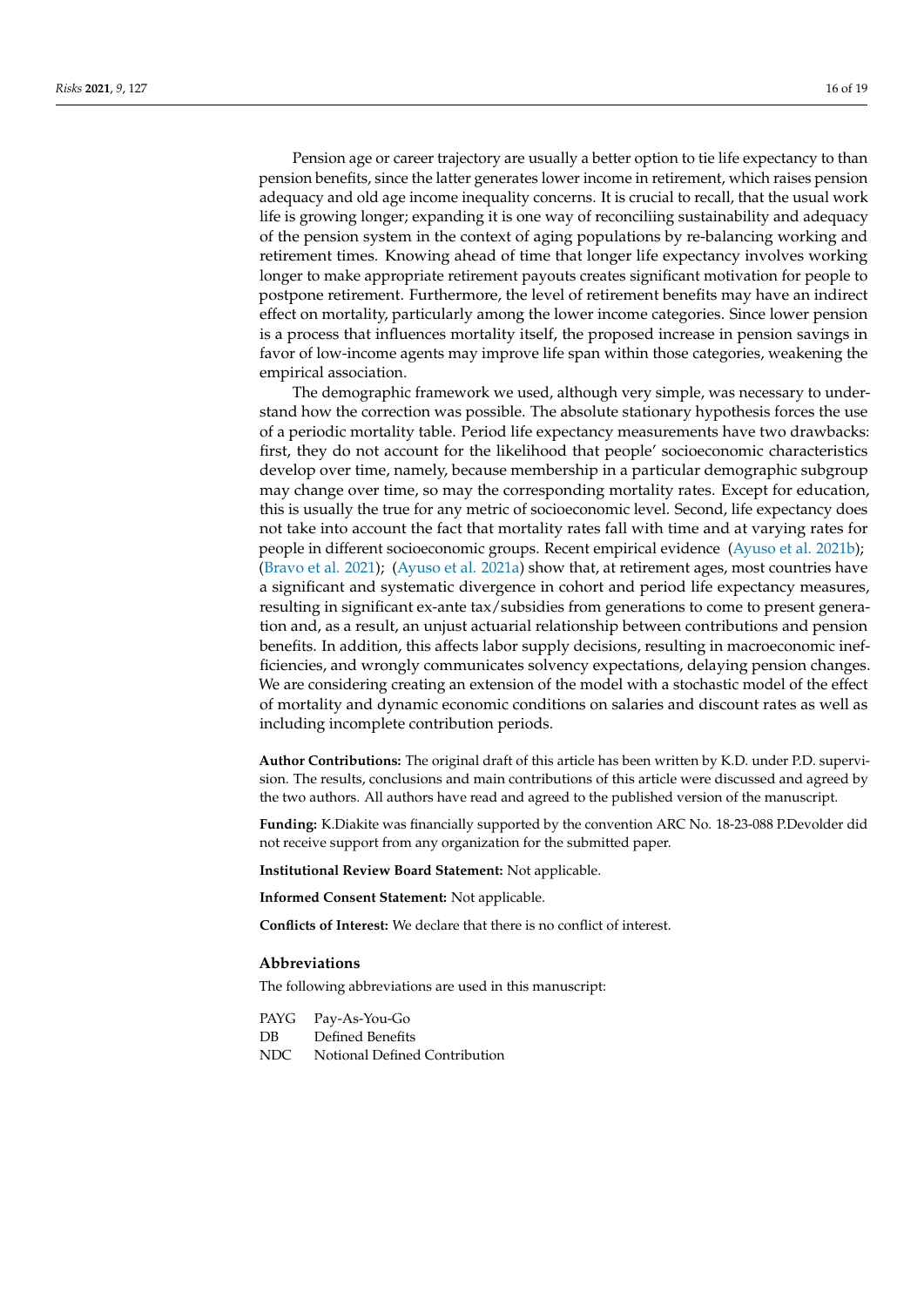Pension age or career trajectory are usually a better option to tie life expectancy to than pension benefits, since the latter generates lower income in retirement, which raises pension adequacy and old age income inequality concerns. It is crucial to recall, that the usual work life is growing longer; expanding it is one way of reconciliing sustainability and adequacy of the pension system in the context of aging populations by re-balancing working and retirement times. Knowing ahead of time that longer life expectancy involves working longer to make appropriate retirement payouts creates significant motivation for people to postpone retirement. Furthermore, the level of retirement benefits may have an indirect effect on mortality, particularly among the lower income categories. Since lower pension is a process that influences mortality itself, the proposed increase in pension savings in favor of low-income agents may improve life span within those categories, weakening the empirical association.

The demographic framework we used, although very simple, was necessary to understand how the correction was possible. The absolute stationary hypothesis forces the use of a periodic mortality table. Period life expectancy measurements have two drawbacks: first, they do not account for the likelihood that people' socioeconomic characteristics develop over time, namely, because membership in a particular demographic subgroup may change over time, so may the corresponding mortality rates. Except for education, this is usually the true for any metric of socioeconomic level. Second, life expectancy does not take into account the fact that mortality rates fall with time and at varying rates for people in different socioeconomic groups. Recent empirical evidence [\(Ayuso et al. 2021b\)](#page-16-1); [\(Bravo et al. 2021\)](#page-17-21); [\(Ayuso et al. 2021a\)](#page-16-6) show that, at retirement ages, most countries have a significant and systematic divergence in cohort and period life expectancy measures, resulting in significant ex-ante tax/subsidies from generations to come to present generation and, as a result, an unjust actuarial relationship between contributions and pension benefits. In addition, this affects labor supply decisions, resulting in macroeconomic inefficiencies, and wrongly communicates solvency expectations, delaying pension changes. We are considering creating an extension of the model with a stochastic model of the effect of mortality and dynamic economic conditions on salaries and discount rates as well as including incomplete contribution periods.

**Author Contributions:** The original draft of this article has been written by K.D. under P.D. supervision. The results, conclusions and main contributions of this article were discussed and agreed by the two authors. All authors have read and agreed to the published version of the manuscript.

**Funding:** K.Diakite was financially supported by the convention ARC No. 18-23-088 P.Devolder did not receive support from any organization for the submitted paper.

**Institutional Review Board Statement:** Not applicable.

**Informed Consent Statement:** Not applicable.

**Conflicts of Interest:** We declare that there is no conflict of interest.

## **Abbreviations**

The following abbreviations are used in this manuscript:

| PAYG  | Pay-As-You-Go                 |
|-------|-------------------------------|
| DВ    | Defined Benefits              |
| NDC . | Notional Defined Contribution |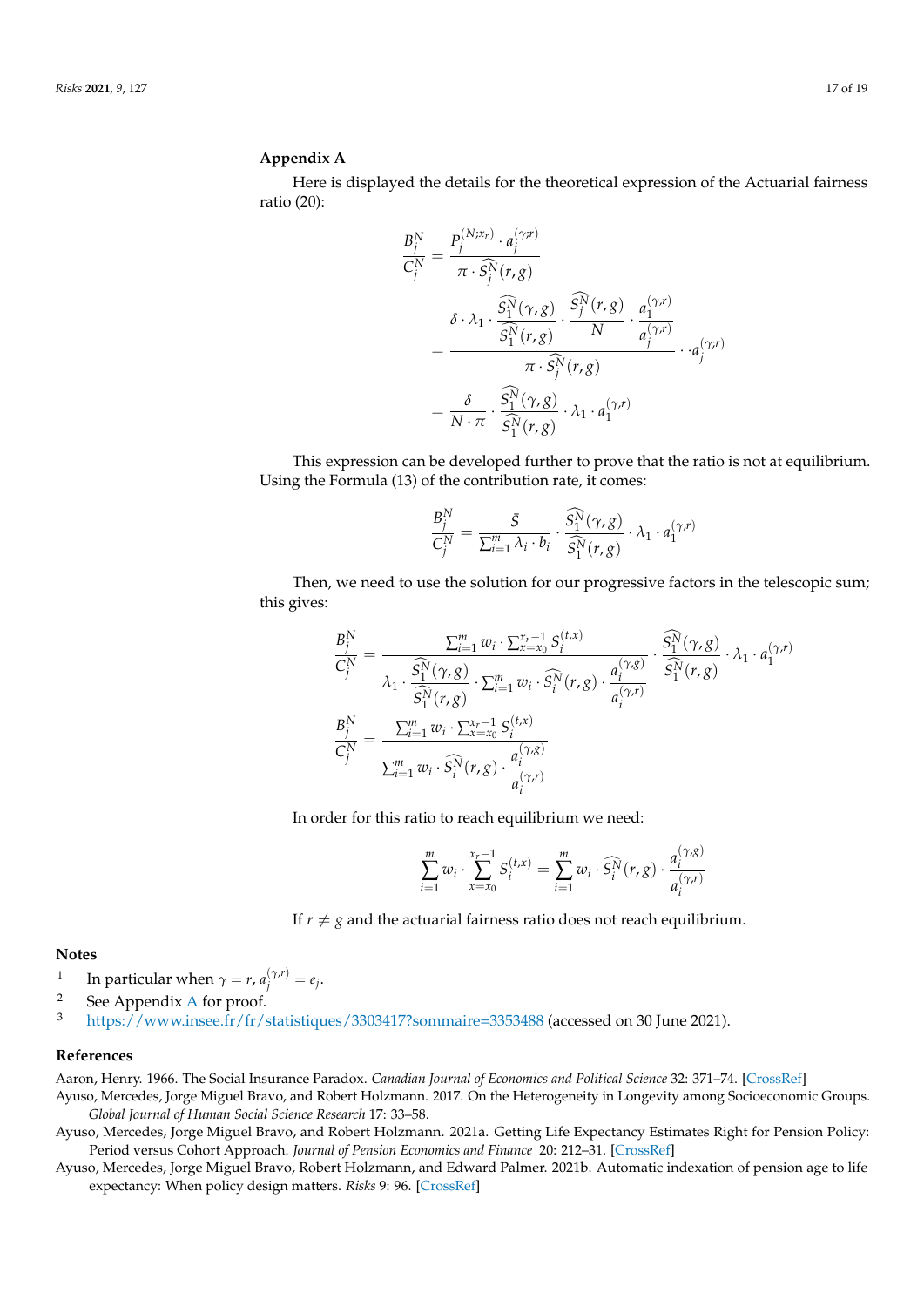## <span id="page-16-7"></span>**Appendix A**

Here is displayed the details for the theoretical expression of the Actuarial fairness ratio (20):

$$
\frac{B_j^N}{C_j^N} = \frac{P_j^{(N;x_r)} \cdot a_j^{(\gamma;r)}}{\pi \cdot \widehat{S}_j^N(r,g)} \n= \frac{\delta \cdot \lambda_1 \cdot \frac{\widehat{S}_1^N(\gamma,g)}{\widehat{S}_1^N(r,g)} \cdot \frac{\widehat{S}_j^N(r,g)}{N} \cdot \frac{a_1^{(\gamma,r)}}{a_j^{(\gamma,r)}}}{\pi \cdot \widehat{S}_j^N(r,g)} \cdot a_j^{(\gamma,r)} \n= \frac{\delta}{N \cdot \pi} \cdot \frac{\widehat{S}_1^N(\gamma,g)}{\widehat{S}_1^N(r,g)} \cdot \lambda_1 \cdot a_1^{(\gamma,r)} \n= \frac{\delta}{N \cdot \pi} \cdot \frac{\widehat{S}_1^N(\gamma,g)}{\widehat{S}_1^N(r,g)} \cdot \lambda_1 \cdot a_1^{(\gamma,r)}
$$

This expression can be developed further to prove that the ratio is not at equilibrium. Using the Formula (13) of the contribution rate, it comes:

$$
\frac{B_j^N}{C_j^N} = \frac{\bar{S}}{\sum_{i=1}^m \lambda_i \cdot b_i} \cdot \frac{\widehat{S_1^N}(\gamma, g)}{\widehat{S_1^N}(r, g)} \cdot \lambda_1 \cdot a_1^{(\gamma, r)}
$$

Then, we need to use the solution for our progressive factors in the telescopic sum; this gives:

(*t*,*x*)

$$
\frac{B_j^N}{C_j^N} = \frac{\sum_{i=1}^m w_i \cdot \sum_{x=x_0}^{x_r-1} S_i^{(t,x)}}{\lambda_1 \cdot \frac{\widehat{S}_1^N(\gamma, g)}{\widehat{S}_1^N(r, g)} \cdot \sum_{i=1}^m w_i \cdot \widehat{S}_i^N(r, g)} \cdot \frac{a_i^{(\gamma, g)}}{a_i^{(\gamma, r)}} \cdot \frac{\widehat{S}_1^N(\gamma, g)}{\widehat{S}_1^N(r, g)} \cdot \lambda_1 \cdot a_1^{(\gamma, r)}
$$
\n
$$
\frac{B_j^N}{C_j^N} = \frac{\sum_{i=1}^m w_i \cdot \sum_{x=x_0}^{x_r-1} S_i^{(t,x)}}{\sum_{i=1}^m w_i \cdot \widehat{S}_i^N(r, g) \cdot \frac{a_i^{(\gamma, g)}}{a_i^{(\gamma, r)}}
$$

In order for this ratio to reach equilibrium we need:

$$
\sum_{i=1}^{m} w_i \cdot \sum_{x=x_0}^{x_r-1} S_i^{(t,x)} = \sum_{i=1}^{m} w_i \cdot \widehat{S_i^N}(r,g) \cdot \frac{a_i^{(\gamma,g)}}{a_i^{(\gamma,r)}}
$$

If  $r \neq g$  and the actuarial fairness ratio does not reach equilibrium.

# **Notes**

- <span id="page-16-2"></span>1 In particular when  $\gamma = r$ ,  $a_j^{(\gamma,r)} = e_j$ .
- <span id="page-16-3"></span><sup>2</sup> See [A](#page-16-7)ppendix A for proof.
- <span id="page-16-5"></span><sup>3</sup> <https://www.insee.fr/fr/statistiques/3303417?sommaire=3353488> (accessed on 30 June 2021).

## **References**

<span id="page-16-4"></span>Aaron, Henry. 1966. The Social Insurance Paradox. *Canadian Journal of Economics and Political Science* 32: 371–74. [\[CrossRef\]](http://doi.org/10.2307/139995)

<span id="page-16-0"></span>Ayuso, Mercedes, Jorge Miguel Bravo, and Robert Holzmann. 2017. On the Heterogeneity in Longevity among Socioeconomic Groups. *Global Journal of Human Social Science Research* 17: 33–58.

<span id="page-16-6"></span>Ayuso, Mercedes, Jorge Miguel Bravo, and Robert Holzmann. 2021a. Getting Life Expectancy Estimates Right for Pension Policy: Period versus Cohort Approach. *Journal of Pension Economics and Finance* 20: 212–31. [\[CrossRef\]](http://dx.doi.org/10.1017/S1474747220000050)

<span id="page-16-1"></span>Ayuso, Mercedes, Jorge Miguel Bravo, Robert Holzmann, and Edward Palmer. 2021b. Automatic indexation of pension age to life expectancy: When policy design matters. *Risks* 9: 96. [\[CrossRef\]](http://dx.doi.org/10.3390/risks9050096)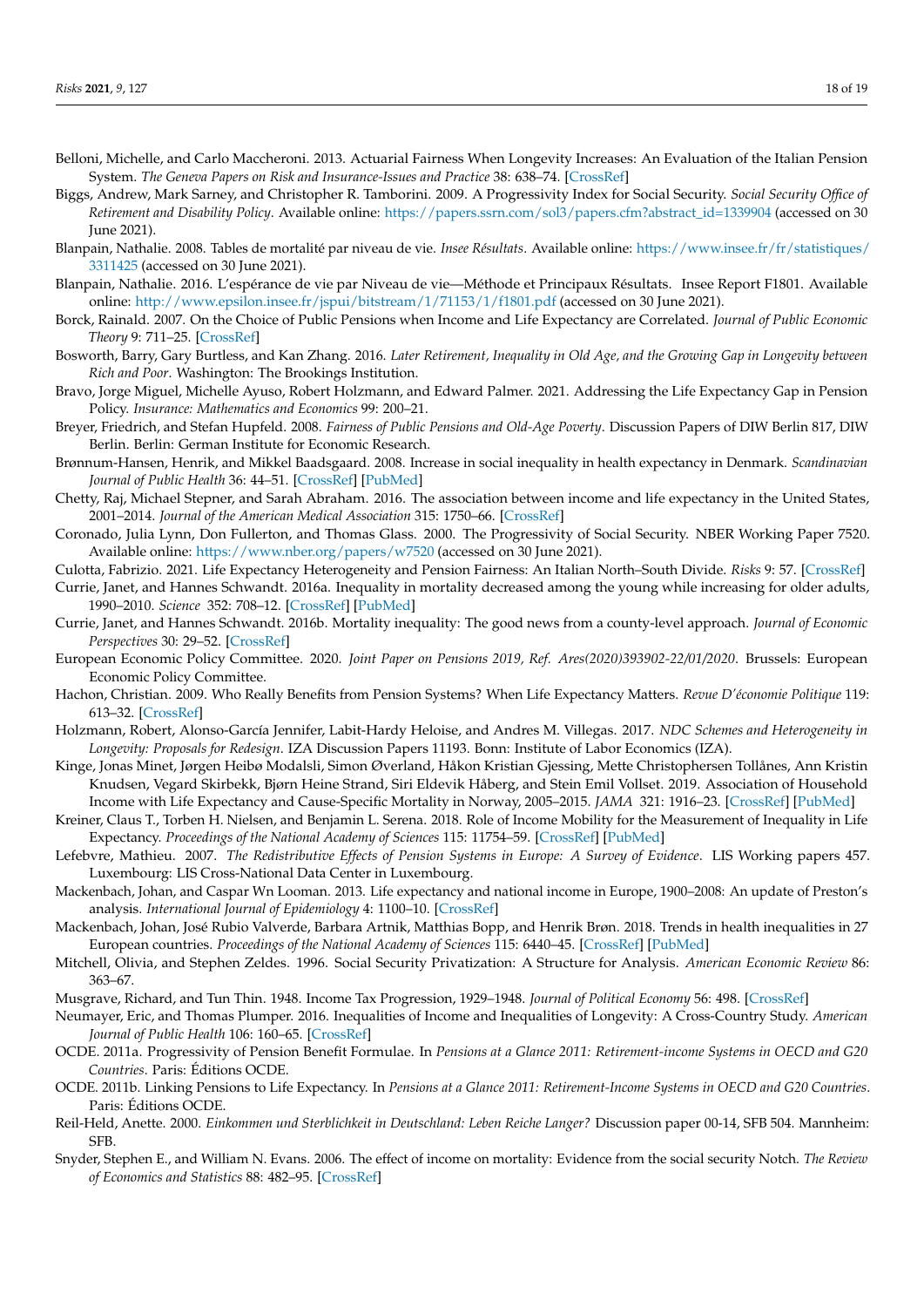- <span id="page-17-14"></span>Belloni, Michelle, and Carlo Maccheroni. 2013. Actuarial Fairness When Longevity Increases: An Evaluation of the Italian Pension System. *The Geneva Papers on Risk and Insurance-Issues and Practice* 38: 638–74. [\[CrossRef\]](http://dx.doi.org/10.1057/gpp.2013.27)
- <span id="page-17-25"></span>Biggs, Andrew, Mark Sarney, and Christopher R. Tamborini. 2009. A Progressivity Index for Social Security. *Social Security Office of Retirement and Disability Policy*. Available online: [https://papers.ssrn.com/sol3/papers.cfm?abstract\\_id=1339904](https://papers.ssrn.com/sol3/papers.cfm?abstract_id=1339904) (accessed on 30 June 2021).
- <span id="page-17-5"></span>Blanpain, Nathalie. 2008. Tables de mortalité par niveau de vie. *Insee Résultats*. Available online: [https://www.insee.fr/fr/statistiques/](https://www.insee.fr/fr/statistiques/3311425) [3311425](https://www.insee.fr/fr/statistiques/3311425) (accessed on 30 June 2021).
- <span id="page-17-6"></span>Blanpain, Nathalie. 2016. L'espérance de vie par Niveau de vie—Méthode et Principaux Résultats. Insee Report F1801. Available online: <http://www.epsilon.insee.fr/jspui/bitstream/1/71153/1/f1801.pdf> (accessed on 30 June 2021).
- <span id="page-17-13"></span>Borck, Rainald. 2007. On the Choice of Public Pensions when Income and Life Expectancy are Correlated. *Journal of Public Economic Theory* 9: 711–25. [\[CrossRef\]](http://dx.doi.org/10.1111/j.1467-9779.2007.00327.x)
- <span id="page-17-12"></span>Bosworth, Barry, Gary Burtless, and Kan Zhang. 2016. *Later Retirement, Inequality in Old Age, and the Growing Gap in Longevity between Rich and Poor*. Washington: The Brookings Institution.
- <span id="page-17-21"></span>Bravo, Jorge Miguel, Michelle Ayuso, Robert Holzmann, and Edward Palmer. 2021. Addressing the Life Expectancy Gap in Pension Policy. *Insurance: Mathematics and Economics* 99: 200–21.
- <span id="page-17-23"></span>Breyer, Friedrich, and Stefan Hupfeld. 2008. *Fairness of Public Pensions and Old-Age Poverty*. Discussion Papers of DIW Berlin 817, DIW Berlin. Berlin: German Institute for Economic Research.
- <span id="page-17-2"></span>Brønnum-Hansen, Henrik, and Mikkel Baadsgaard. 2008. Increase in social inequality in health expectancy in Denmark. *Scandinavian Journal of Public Health* 36: 44–51. [\[CrossRef\]](http://dx.doi.org/10.1177/1403494807085193) [\[PubMed\]](http://www.ncbi.nlm.nih.gov/pubmed/18426784)
- <span id="page-17-11"></span>Chetty, Raj, Michael Stepner, and Sarah Abraham. 2016. The association between income and life expectancy in the United States, 2001–2014. *Journal of the American Medical Association* 315: 1750–66. [\[CrossRef\]](http://dx.doi.org/10.1001/jama.2016.4226)
- <span id="page-17-15"></span>Coronado, Julia Lynn, Don Fullerton, and Thomas Glass. 2000. The Progressivity of Social Security. NBER Working Paper 7520. Available online: <https://www.nber.org/papers/w7520> (accessed on 30 June 2021).
- <span id="page-17-22"></span>Culotta, Fabrizio. 2021. Life Expectancy Heterogeneity and Pension Fairness: An Italian North–South Divide. *Risks* 9: 57. [\[CrossRef\]](http://dx.doi.org/10.3390/risks9030057)
- <span id="page-17-7"></span>Currie, Janet, and Hannes Schwandt. 2016a. Inequality in mortality decreased among the young while increasing for older adults, 1990–2010. *Science* 352: 708–12. [\[CrossRef\]](http://dx.doi.org/10.1126/science.aaf1437) [\[PubMed\]](http://www.ncbi.nlm.nih.gov/pubmed/27103667)
- <span id="page-17-10"></span>Currie, Janet, and Hannes Schwandt. 2016b. Mortality inequality: The good news from a county-level approach. *Journal of Economic Perspectives* 30: 29–52. [\[CrossRef\]](http://dx.doi.org/10.1257/jep.30.2.29)
- <span id="page-17-19"></span>European Economic Policy Committee. 2020. *Joint Paper on Pensions 2019, Ref. Ares(2020)393902-22/01/2020*. Brussels: European Economic Policy Committee.
- <span id="page-17-24"></span>Hachon, Christian. 2009. Who Really Benefits from Pension Systems? When Life Expectancy Matters. *Revue D'économie Politique* 119: 613–32. [\[CrossRef\]](http://dx.doi.org/10.3917/redp.194.0613)
- <span id="page-17-20"></span>Holzmann, Robert, Alonso-García Jennifer, Labit-Hardy Heloise, and Andres M. Villegas. 2017. *NDC Schemes and Heterogeneity in Longevity: Proposals for Redesign*. IZA Discussion Papers 11193. Bonn: Institute of Labor Economics (IZA).
- <span id="page-17-4"></span>Kinge, Jonas Minet, Jørgen Heibø Modalsli, Simon Øverland, Håkon Kristian Gjessing, Mette Christophersen Tollånes, Ann Kristin Knudsen, Vegard Skirbekk, Bjørn Heine Strand, Siri Eldevik Håberg, and Stein Emil Vollset. 2019. Association of Household Income with Life Expectancy and Cause-Specific Mortality in Norway, 2005–2015. *JAMA* 321: 1916–23. [\[CrossRef\]](http://dx.doi.org/10.1001/jama.2019.4329) [\[PubMed\]](http://www.ncbi.nlm.nih.gov/pubmed/31083722)
- <span id="page-17-3"></span>Kreiner, Claus T., Torben H. Nielsen, and Benjamin L. Serena. 2018. Role of Income Mobility for the Measurement of Inequality in Life Expectancy. *Proceedings of the National Academy of Sciences* 115: 11754–59. [\[CrossRef\]](http://dx.doi.org/10.1073/pnas.1811455115) [\[PubMed\]](http://www.ncbi.nlm.nih.gov/pubmed/30373814)
- <span id="page-17-16"></span>Lefebvre, Mathieu. 2007. *The Redistributive Effects of Pension Systems in Europe: A Survey of Evidence*. LIS Working papers 457. Luxembourg: LIS Cross-National Data Center in Luxembourg.
- <span id="page-17-1"></span>Mackenbach, Johan, and Caspar Wn Looman. 2013. Life expectancy and national income in Europe, 1900–2008: An update of Preston's analysis. *International Journal of Epidemiology* 4: 1100–10. [\[CrossRef\]](http://dx.doi.org/10.1093/ije/dyt122)
- <span id="page-17-8"></span>Mackenbach, Johan, José Rubio Valverde, Barbara Artnik, Matthias Bopp, and Henrik Brøn. 2018. Trends in health inequalities in 27 European countries. *Proceedings of the National Academy of Sciences* 115: 6440–45. [\[CrossRef\]](http://dx.doi.org/10.1073/pnas.1800028115) [\[PubMed\]](http://www.ncbi.nlm.nih.gov/pubmed/29866829)
- <span id="page-17-18"></span>Mitchell, Olivia, and Stephen Zeldes. 1996. Social Security Privatization: A Structure for Analysis. *American Economic Review* 86: 363–67.
- <span id="page-17-26"></span>Musgrave, Richard, and Tun Thin. 1948. Income Tax Progression, 1929–1948. *Journal of Political Economy* 56: 498. [\[CrossRef\]](http://dx.doi.org/10.1086/256742)
- <span id="page-17-0"></span>Neumayer, Eric, and Thomas Plumper. 2016. Inequalities of Income and Inequalities of Longevity: A Cross-Country Study. *American Journal of Public Health* 106: 160–65. [\[CrossRef\]](http://dx.doi.org/10.2105/AJPH.2015.302849)
- <span id="page-17-27"></span>OCDE. 2011a. Progressivity of Pension Benefit Formulae. In *Pensions at a Glance 2011: Retirement-income Systems in OECD and G20 Countries*. Paris: Éditions OCDE.
- <span id="page-17-28"></span>OCDE. 2011b. Linking Pensions to Life Expectancy. In *Pensions at a Glance 2011: Retirement-Income Systems in OECD and G20 Countries*. Paris: Éditions OCDE.
- <span id="page-17-17"></span>Reil-Held, Anette. 2000. *Einkommen und Sterblichkeit in Deutschland: Leben Reiche Langer?* Discussion paper 00-14, SFB 504. Mannheim: SFB.
- <span id="page-17-9"></span>Snyder, Stephen E., and William N. Evans. 2006. The effect of income on mortality: Evidence from the social security Notch. *The Review of Economics and Statistics* 88: 482–95. [\[CrossRef\]](http://dx.doi.org/10.1162/rest.88.3.482)